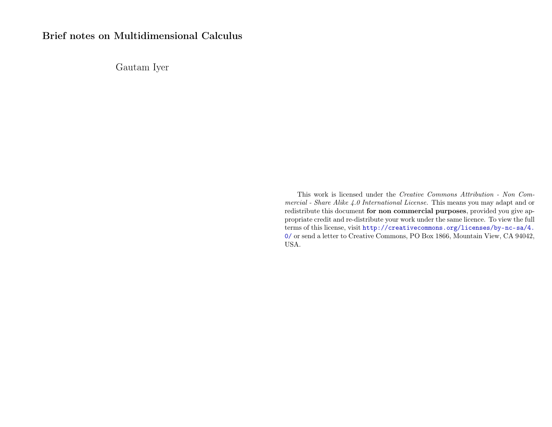# Brief notes on Multidimensional Calculus

Gautam Iyer

This work is licensed under the Creative Commons Attribution - Non Commercial - Share Alike 4.0 International License. This means you may adapt and or redistribute this document for non commercial purposes, provided you give appropriate credit and re-distribute your work under the same licence. To view the full terms of this license, visit [http://creativecommons.org/licenses/by-nc-sa/4.](http://creativecommons.org/licenses/by-nc-sa/4.0/) [0/](http://creativecommons.org/licenses/by-nc-sa/4.0/) or send a letter to Creative Commons, PO Box 1866, Mountain View, CA 94042, USA.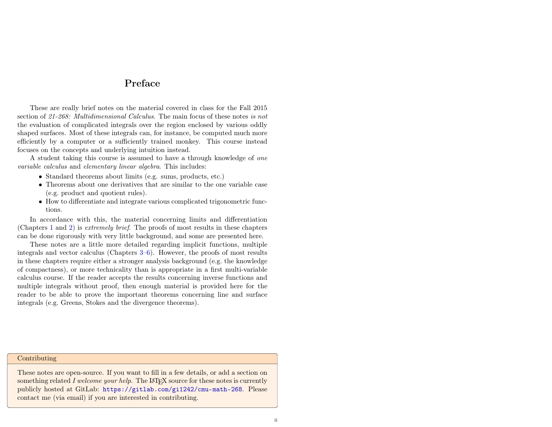## Preface

<span id="page-1-0"></span>These are really brief notes on the material covered in class for the Fall 2015 section of 21-268: Multidimensional Calculus. The main focus of these notes is not the evaluation of complicated integrals over the region enclosed by various oddly shaped surfaces. Most of these integrals can, for instance, be computed much more efficiently by a computer or a sufficiently trained monkey. This course instead focuses on the concepts and underlying intuition instead.

A student taking this course is assumed to have a through knowledge of one variable calculus and elementary linear algebra. This includes:

- Standard theorems about limits (e.g. sums, products, etc.)
- Theorems about one derivatives that are similar to the one variable case (e.g. product and quotient rules).
- How to differentiate and integrate various complicated trigonometric functions.

In accordance with this, the material concerning limits and differentiation (Chapters [1](#page-3-0) and [2\)](#page-4-0) is extremely brief. The proofs of most results in these chapters can be done rigorously with very little background, and some are presented here.

These notes are a little more detailed regarding implicit functions, multiple integrals and vector calculus (Chapters [3](#page-8-0)[–6\)](#page-19-0). However, the proofs of most results in these chapters require either a stronger analysis background (e.g. the knowledge of compactness), or more technicality than is appropriate in a first multi-variable calculus course. If the reader accepts the results concerning inverse functions and multiple integrals without proof, then enough material is provided here for the reader to be able to prove the important theorems concerning line and surface integrals (e.g. Greens, Stokes and the divergence theorems).

#### Contributing

These notes are open-source. If you want to fill in a few details, or add a section on something related I welcome your help. The LATEX source for these notes is currently publicly hosted at GitLab: <https://gitlab.com/gi1242/cmu-math-268>. Please contact me (via email) if you are interested in contributing.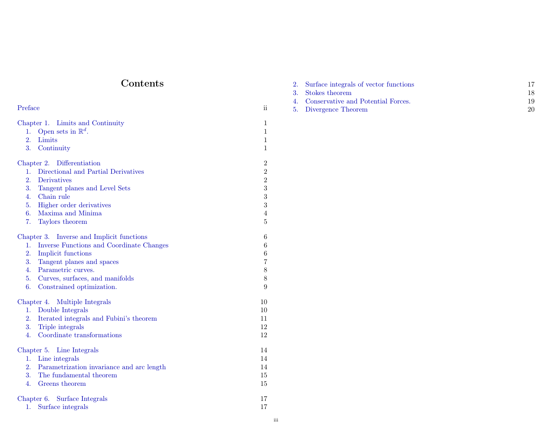# Contents

| Preface                                                                                                                                                                                                                                                                     |                                                                                                                  |
|-----------------------------------------------------------------------------------------------------------------------------------------------------------------------------------------------------------------------------------------------------------------------------|------------------------------------------------------------------------------------------------------------------|
| Chapter 1. Limits and Continuity<br>Open sets in $\mathbb{R}^d$ .<br>1.<br>2.<br>Limits<br>3.<br>Continuity                                                                                                                                                                 | $\mathbf{1}$<br>$\mathbf{1}$<br>$\mathbf{1}$<br>$\mathbf{1}$                                                     |
| Chapter 2. Differentiation<br>Directional and Partial Derivatives<br>$1_{\cdot}$<br>2.<br>Derivatives<br>3.<br>Tangent planes and Level Sets<br>Chain rule<br>4.<br>5.<br>Higher order derivatives<br>6.<br>Maxima and Minima<br>7.<br>Taylors theorem                      | $\,2$<br>$\sqrt{2}$<br>$\boldsymbol{2}$<br>$\overline{3}$<br>$\sqrt{3}$<br>$\overline{3}$<br>$\overline{4}$<br>5 |
| Chapter 3. Inverse and Implicit functions<br>Inverse Functions and Coordinate Changes<br>$1_{\cdot}$<br>2.<br>Implicit functions<br>3.<br>Tangent planes and spaces<br>4.<br>Parametric curves.<br>5.<br>Curves, surfaces, and manifolds<br>6.<br>Constrained optimization. | 6<br>$\,6$<br>$\,6$<br>$\overline{7}$<br>$\,8\,$<br>$8\,$<br>9                                                   |
| Chapter 4. Multiple Integrals<br>Double Integrals<br>1.<br>Iterated integrals and Fubini's theorem<br>2.<br>3.<br>Triple integrals<br>Coordinate transformations<br>$\overline{4}$ .                                                                                        | 10<br>10<br>11<br>12<br>12                                                                                       |
| Chapter 5. Line Integrals<br>Line integrals<br>1.<br>2.<br>Parametrization invariance and arc length<br>3.<br>The fundamental theorem<br>4.<br>Greens theorem                                                                                                               | 14<br>14<br>14<br>15<br>15                                                                                       |
| Chapter 6. Surface Integrals<br>Surface integrals<br>1.                                                                                                                                                                                                                     | 17<br>17                                                                                                         |

| 2. Surface integrals of vector functions |    |
|------------------------------------------|----|
| 3. Stokes theorem                        |    |
| 4. Conservative and Potential Forces.    |    |
| 5. Divergence Theorem                    | 20 |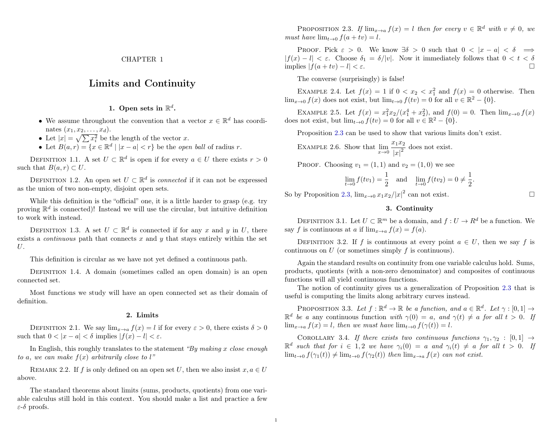### <span id="page-3-0"></span>Limits and Continuity

### 1. Open sets in  $\mathbb{R}^d$ .

- <span id="page-3-1"></span>• We assume throughout the convention that a vector  $x \in \mathbb{R}^d$  has coordinates  $(x_1, x_2, \ldots, x_d)$ .
- Let  $|x| = \sqrt{\sum x_i^2}$  be the length of the vector x.
- Let  $B(a,r) = \{x \in \mathbb{R}^d \mid |x-a| < r\}$  be the *open ball* of radius r.

DEFINITION 1.1. A set  $U \subset \mathbb{R}^d$  is open if for every  $a \in U$  there exists  $r > 0$ such that  $B(a, r) \subset U$ .

DEFINITION 1.2. An open set  $U \subset \mathbb{R}^d$  is *connected* if it can not be expressed as the union of two non-empty, disjoint open sets.

While this definition is the "official" one, it is a little harder to grasp (e.g. try proving  $\mathbb{R}^d$  is connected)! Instead we will use the circular, but intuitive definition to work with instead.

DEFINITION 1.3. A set  $U \subset \mathbb{R}^d$  is connected if for any x and y in U, there exists a *continuous* path that connects  $x$  and  $y$  that stays entirely within the set U.

This definition is circular as we have not yet defined a continuous path.

DEFINITION 1.4. A domain (sometimes called an open domain) is an open connected set.

Most functions we study will have an open connected set as their domain of definition.

#### 2. Limits

<span id="page-3-2"></span>DEFINITION 2.1. We say  $\lim_{x\to a} f(x) = l$  if for every  $\varepsilon > 0$ , there exists  $\delta > 0$ such that  $0 < |x - a| < \delta$  implies  $|f(x) - l| < \varepsilon$ .

In English, this roughly translates to the statement "By making x close enough to a, we can make  $f(x)$  arbitrarily close to l"

REMARK 2.2. If f is only defined on an open set U, then we also insist  $x, a \in U$ above.

The standard theorems about limits (sums, products, quotients) from one variable calculus still hold in this context. You should make a list and practice a few ε-δ proofs.

<span id="page-3-4"></span>PROPOSITION 2.3. If  $\lim_{x\to a} f(x) = l$  then for every  $v \in \mathbb{R}^d$  with  $v \neq 0$ , we must have  $\lim_{t\to 0} f(a+tv) = l$ .

PROOF. Pick  $\varepsilon > 0$ . We know  $\exists \delta > 0$  such that  $0 < |x - a| < \delta \implies$  $|f(x) - l| < \varepsilon$ . Choose  $\delta_1 = \delta/|v|$ . Now it immediately follows that  $0 < t < \delta$ implies  $|f(a + tv) - l| < \varepsilon$ .

The converse (surprisingly) is false!

EXAMPLE 2.4. Let  $f(x) = 1$  if  $0 < x_2 < x_1^2$  and  $f(x) = 0$  otherwise. Then  $\lim_{x\to 0} f(x)$  does not exist, but  $\lim_{t\to 0} f(tv) = 0$  for all  $v \in \mathbb{R}^2 - \{0\}.$ 

EXAMPLE 2.5. Let  $f(x) = x_1^2 x_2/(x_1^4 + x_2^2)$ , and  $f(0) = 0$ . Then  $\lim_{x\to 0} f(x)$ does not exist, but  $\lim_{t\to 0} f(tv) = 0$  for all  $v \in \mathbb{R}^2 - \{0\}.$ 

Proposition [2.3](#page-3-4) can be used to show that various limits don't exist.

EXAMPLE 2.6. Show that  $\lim_{x\to 0} \frac{x_1x_2}{|x|^2}$  $\frac{|x|^2}{|x|^2}$  does not exist.

PROOF. Choosing  $v_1 = (1, 1)$  and  $v_2 = (1, 0)$  we see

$$
\lim_{t \to 0} f(tv_1) = \frac{1}{2} \text{ and } \lim_{t \to 0} f(tv_2) = 0 \neq \frac{1}{2}.
$$

So by Proposition [2.3,](#page-3-4)  $\lim_{x\to 0} x_1 x_2/|x|^2$  can not exist.

#### 3. Continuity

<span id="page-3-3"></span>DEFINITION 3.1. Let  $U \subset \mathbb{R}^m$  be a domain, and  $f: U \to R^d$  be a function. We say f is continuous at a if  $\lim_{x\to a} f(x) = f(a)$ .

DEFINITION 3.2. If f is continuous at every point  $a \in U$ , then we say f is continuous on  $U$  (or sometimes simply  $f$  is continuous).

Again the standard results on continuity from one variable calculus hold. Sums, products, quotients (with a non-zero denominator) and composites of continuous functions will all yield continuous functions.

The notion of continuity gives us a generalization of Proposition [2.3](#page-3-4) that is useful is computing the limits along arbitrary curves instead.

PROPOSITION 3.3. Let  $f : \mathbb{R}^d \to \mathbb{R}$  be a function, and  $a \in \mathbb{R}^d$ . Let  $\gamma : [0,1] \to$  $\mathbb{R}^d$  be a any continuous function with  $\gamma(0) = a$ , and  $\gamma(t) \neq a$  for all  $t > 0$ . If  $\lim_{x\to a} f(x) = l$ , then we must have  $\lim_{t\to 0} f(\gamma(t)) = l$ .

COROLLARY 3.4. If there exists two continuous functions  $\gamma_1, \gamma_2 : [0, 1] \rightarrow$  $\mathbb{R}^d$  such that for  $i \in 1,2$  we have  $\gamma_i(0) = a$  and  $\gamma_i(t) \neq a$  for all  $t > 0$ . If  $\lim_{t\to 0} f(\gamma_1(t)) \neq \lim_{t\to 0} f(\gamma_2(t))$  then  $\lim_{x\to a} f(x)$  can not exist.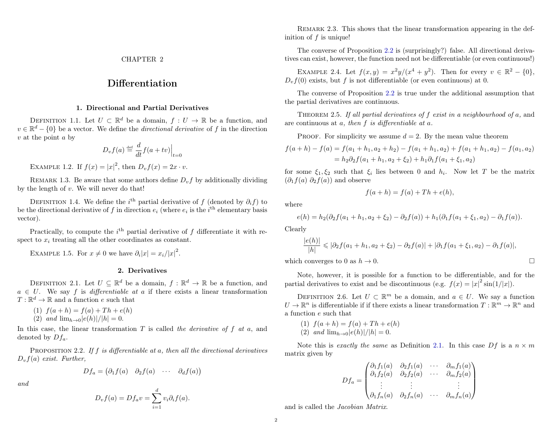### Differentiation

#### 1. Directional and Partial Derivatives

<span id="page-4-1"></span><span id="page-4-0"></span>DEFINITION 1.1. Let  $U \subset \mathbb{R}^d$  be a domain,  $f: U \to \mathbb{R}$  be a function, and  $v \in \mathbb{R}^d - \{0\}$  be a vector. We define the *directional derivative* of f in the direction  $v$  at the point  $a$  by

$$
D_v f(a) \stackrel{\text{def}}{=} \frac{d}{dt} f(a + tv) \Big|_{t=0}
$$

EXAMPLE 1.2. If  $f(x) = |x|^2$ , then  $D_v f(x) = 2x \cdot v$ .

REMARK 1.3. Be aware that some authors define  $D_{\eta} f$  by additionally dividing by the length of  $v$ . We will never do that!

DEFINITION 1.4. We define the i<sup>th</sup> partial derivative of f (denoted by  $\partial_i f$ ) to be the directional derivative of f in direction  $e_i$  (where  $e_i$  is the i<sup>th</sup> elementary basis vector).

Practically, to compute the  $i<sup>th</sup>$  partial derivative of f differentiate it with respect to  $x_i$  treating all the other coordinates as constant.

EXAMPLE 1.5. For  $x \neq 0$  we have  $\partial_i |x| = x_i/|x|^2$ .

#### 2. Derivatives

<span id="page-4-4"></span><span id="page-4-2"></span>DEFINITION 2.1. Let  $U \subseteq \mathbb{R}^d$  be a domain,  $f : \mathbb{R}^d \to \mathbb{R}$  be a function, and  $a \in U$ . We say f is *differentiable at a* if there exists a linear transformation  $T: \mathbb{R}^d \to \mathbb{R}$  and a function e such that

(1)  $f(a+h) = f(a) + Th + e(h)$ 

(2) and 
$$
\lim_{h \to 0} |e(h)|/|h| = 0
$$
.

In this case, the linear transformation  $T$  is called the derivative of  $f$  at  $a$ , and denoted by  $Df_a$ .

<span id="page-4-3"></span>PROPOSITION 2.2. If  $f$  is differentiable at  $a$ , then all the directional derivatives  $D_v f(a)$  exist. Further,

$$
Df_a = \begin{pmatrix} \partial_1 f(a) & \partial_2 f(a) & \cdots & \partial_d f(a) \end{pmatrix}
$$

and

$$
D_v f(a) = Df_a v = \sum_{i=1}^d v_i \partial_i f(a).
$$

REMARK 2.3. This shows that the linear transformation appearing in the definition of  $f$  is unique!

The converse of Proposition [2.2](#page-4-3) is (surprisingly?) false. All directional derivatives can exist, however, the function need not be differentiable (or even continuous!)

EXAMPLE 2.4. Let  $f(x,y) = x^2y/(x^4 + y^2)$ . Then for every  $v \in \mathbb{R}^2 - \{0\}$ ,  $D_v f(0)$  exists, but f is not differentiable (or even continuous) at 0.

The converse of Proposition [2.2](#page-4-3) is true under the additional assumption that the partial derivatives are continuous.

Theorem 2.5. If all partial derivatives of f exist in a neighbourhood of a, and are continuous at  $a$ , then  $f$  is differentiable at  $a$ .

PROOF. For simplicity we assume  $d = 2$ . By the mean value theorem

$$
f(a+h) - f(a) = f(a_1 + h_1, a_2 + h_2) - f(a_1 + h_1, a_2) + f(a_1 + h_1, a_2) - f(a_1, a_2)
$$
  
=  $h_2 \partial_2 f(a_1 + h_1, a_2 + \xi_2) + h_1 \partial_1 f(a_1 + \xi_1, a_2)$ 

for some  $\xi_1, \xi_2$  such that  $\xi_i$  lies between 0 and  $h_i$ . Now let T be the matrix  $(\partial_1 f(a) \partial_2 f(a))$  and observe

$$
f(a+h) = f(a) + Th + e(h),
$$

where

$$
e(h) = h_2(\partial_2 f(a_1 + h_1, a_2 + \xi_2) - \partial_2 f(a)) + h_1(\partial_1 f(a_1 + \xi_1, a_2) - \partial_1 f(a)).
$$

Clearly

$$
\frac{|e(h)|}{|h|} \leq |\partial_2 f(a_1 + h_1, a_2 + \xi_2) - \partial_2 f(a)| + |\partial_1 f(a_1 + \xi_1, a_2) - \partial_1 f(a)|,
$$

which converges to 0 as  $h \to 0$ .

Note, however, it is possible for a function to be differentiable, and for the partial derivatives to exist and be discontinuous (e.g.  $f(x) = |x|^2 \sin(1/|x|)$ ).

DEFINITION 2.6. Let  $U \subset \mathbb{R}^m$  be a domain, and  $a \in U$ . We say a function  $U \to \mathbb{R}^n$  is differentiable if if there exists a linear transformation  $T : \mathbb{R}^m \to \mathbb{R}^n$  and a function e such that

(1) 
$$
f(a+h) = f(a) + Th + e(h)
$$
  
(2) and  $\lim_{h\to 0} |e(h)|/|h| = 0$ .

Note this is exactly the same as Definition [2.1.](#page-4-4) In this case  $Df$  is a  $n \times m$ matrix given by

$$
Df_a = \begin{pmatrix} \partial_1 f_1(a) & \partial_2 f_1(a) & \cdots & \partial_m f_1(a) \\ \partial_1 f_2(a) & \partial_2 f_2(a) & \cdots & \partial_m f_2(a) \\ \vdots & \vdots & & \vdots \\ \partial_1 f_n(a) & \partial_2 f_n(a) & \cdots & \partial_m f_n(a) \end{pmatrix}
$$

and is called the Jacobian Matrix.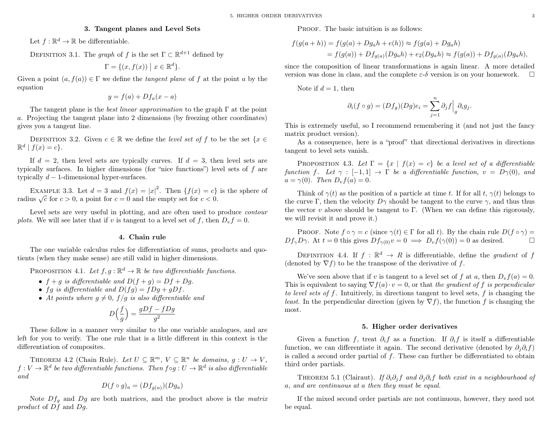#### 3. Tangent planes and Level Sets

<span id="page-5-0"></span>Let  $f: \mathbb{R}^d \to \mathbb{R}$  be differentiable.

DEFINITION 3.1. The graph of f is the set  $\Gamma \subset \mathbb{R}^{d+1}$  defined by

$$
\Gamma = \{ (x, f(x)) \mid x \in \mathbb{R}^d \}.
$$

Given a point  $(a, f(a)) \in \Gamma$  we define the *tangent plane* of f at the point a by the equation

$$
y = f(a) + Df_a(x - a)
$$

The tangent plane is the *best linear approximation* to the graph  $\Gamma$  at the point a. Projecting the tangent plane into 2 dimensions (by freezing other coordinates) gives you a tangent line.

DEFINITION 3.2. Given  $c \in \mathbb{R}$  we define the *level set of f* to be the set  $\{x \in$  $\mathbb{R}^d \mid f(x) = c$ .

If  $d = 2$ , then level sets are typically curves. If  $d = 3$ , then level sets are typically surfaces. In higher dimensions (for "nice functions") level sets of f are typically  $d-1$ -dimensional hyper-surfaces.

EXAMPLE 3.3. Let  $d=3$  and  $f(x)=|x|^2$ . Then  $\{f(x)=c\}$  is the sphere of EXAMPLE 3.3. Let  $u = 3$  and  $f(x) = |x|$ . Then  $f(x) = c$  radius  $\sqrt{c}$  for  $c > 0$ , a point for  $c = 0$  and the empty set for  $c < 0$ .

Level sets are very useful in plotting, and are often used to produce contour plots. We will see later that if v is tangent to a level set of f, then  $D_v f = 0$ .

#### 4. Chain rule

<span id="page-5-1"></span>The one variable calculus rules for differentiation of sums, products and quotients (when they make sense) are still valid in higher dimensions.

PROPOSITION 4.1. Let  $f, g : \mathbb{R}^d \to \mathbb{R}$  be two differentiable functions.

- $f + q$  is differentiable and  $D(f + q) = Df + Dq$ .
- fq is differentiable and  $D(fq) = fDq + qDf$ .
- At points where  $q \neq 0$ ,  $f/q$  is also differentiable and

$$
D\Big(\frac{f}{g}\Big) = \frac{gDf - fDg}{g^2}
$$

These follow in a manner very similar to the one variable analogues, and are left for you to verify. The one rule that is a little different in this context is the differentiation of composites.

THEOREM 4.2 (Chain Rule). Let  $U \subseteq \mathbb{R}^m$ ,  $V \subseteq \mathbb{R}^n$  be domains,  $g: U \to V$ ,  $f: V \to \mathbb{R}^d$  be two differentiable functions. Then  $f \circ g: U \to \mathbb{R}^d$  is also differentiable and

$$
D(f \circ g)_a = (Df_{g(a)})(Dg_a)
$$

Note  $Df<sub>g</sub>$  and  $Dg$  are both matrices, and the product above is the *matrix* product of Df and Dg.

PROOF. The basic intuition is as follows:

$$
f(g(a+h)) = f(g(a) + Dg_a h + e(h)) \approx f(g(a) + Dg_a h)
$$
  
=  $f(g(a)) + Df_{g(a)}(Dg_a h) + e_2(Dg_a h) \approx f(g(a)) + Df_{g(a)}(Dg_a h),$ 

since the composition of linear transformations is again linear. A more detailed version was done in class, and the complete  $\varepsilon$ -δ version is on your homework.  $\square$ 

Note if  $d = 1$ , then

$$
\partial_i(f \circ g) = (Df_g)(Dg)e_i = \sum_{j=1}^n \partial_j f \Big|_g \partial_i g_j.
$$

This is extremely useful, so I recommend remembering it (and not just the fancy matrix product version).

As a consequence, here is a "proof" that directional derivatives in directions tangent to level sets vanish.

PROPOSITION 4.3. Let  $\Gamma = \{x \mid f(x) = c\}$  be a level set of a differentiable function f. Let  $\gamma : [-1,1] \to \Gamma$  be a differentiable function,  $v = D\gamma(0)$ , and  $a = \gamma(0)$ . Then  $D_v f(a) = 0$ .

Think of  $\gamma(t)$  as the position of a particle at time t. If for all t,  $\gamma(t)$  belongs to the curve Γ, then the velocity  $D\gamma$  should be tangent to the curve  $\gamma$ , and thus thus the vector  $v$  above should be tangent to  $\Gamma$ . (When we can define this rigorously, we will revisit it and prove it.)

PROOF. Note  $f \circ \gamma = c$  (since  $\gamma(t) \in \Gamma$  for all t). By the chain rule  $D(f \circ \gamma) =$  $Df_{\gamma}D\gamma$ . At  $t = 0$  this gives  $Df_{\gamma(0)}v = 0 \implies D_vf(\gamma(0)) = 0$  as desired.

DEFINITION 4.4. If  $f : \mathbb{R}^d \to R$  is differentiable, define the *gradient* of f (denoted by  $\nabla f$ ) to be the transpose of the derivative of f.

We've seen above that if v is tangent to a level set of f at a, then  $D_{\nu}f(a) = 0$ . This is equivalent to saying  $\nabla f(a) \cdot v = 0$ , or that the gradient of f is perpendicular to level sets of f. Intuitively, in directions tangent to level sets, f is changing the *least.* In the perpendicular direction (given by  $\nabla f$ ), the function f is changing the most.

#### 5. Higher order derivatives

<span id="page-5-2"></span>Given a function f, treat  $\partial_i f$  as a function. If  $\partial_i f$  is itself a differentiable function, we can differentiate it again. The second derivative (denoted by  $\partial_i \partial_i f$ ) is called a second order partial of  $f$ . These can further be differentiated to obtain third order partials.

THEOREM 5.1 (Clairaut). If  $\partial_i \partial_j f$  and  $\partial_j \partial_i f$  both exist in a neighbourhood of a, and are continuous at a then they must be equal.

If the mixed second order partials are not continuous, however, they need not be equal.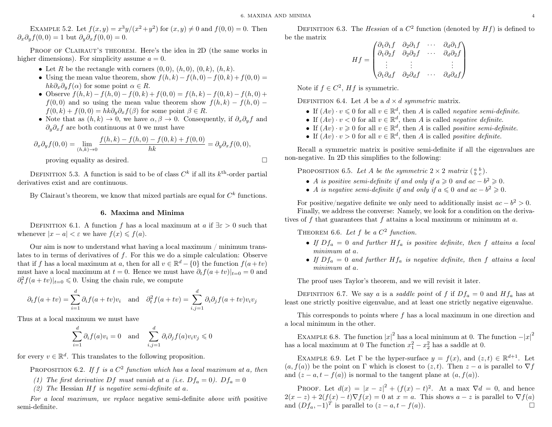EXAMPLE 5.2. Let  $f(x, y) = x^3y/(x^2 + y^2)$  for  $(x, y) \neq 0$  and  $f(0, 0) = 0$ . Then  $\partial_x \partial_y f(0,0) = 1$  but  $\partial_y \partial_x f(0,0) = 0$ .

PROOF OF CLAIRAUT'S THEOREM. Here's the idea in 2D (the same works in higher dimensions). For simplicity assume  $a = 0$ .

- Let R be the rectangle with corners  $(0, 0)$ ,  $(h, 0)$ ,  $(0, k)$ ,  $(h, k)$ .
- Using the mean value theorem, show  $f(h, k) f(h, 0) f(0, k) + f(0, 0) =$  $hk\partial_x\partial_yf(\alpha)$  for some point  $\alpha \in R$ .
- Observe  $f(h, k) f(h, 0) f(0, k) + f(0, 0) = f(h, k) f(0, k) f(h, 0) +$  $f(0,0)$  and so using the mean value theorem show  $f(h, k) - f(h, 0)$  −  $f(0, k) + f(0, 0) = hk\partial_y \partial_x f(\beta)$  for some point  $\beta \in R$ .
- Note that as  $(h, k) \to 0$ , we have  $\alpha, \beta \to 0$ . Consequently, if  $\partial_x \partial_y f$  and  $\partial_y \partial_x f$  are both continuous at 0 we must have

$$
\partial_x \partial_y f(0,0) = \lim_{(h,k)\to 0} \frac{f(h,k) - f(h,0) - f(0,k) + f(0,0)}{hk} = \partial_y \partial_x f(0,0),
$$

proving equality as desired.

DEFINITION 5.3. A function is said to be of class  $C<sup>k</sup>$  if all its  $k<sup>th</sup>$ -order partial derivatives exist and are continuous.

By Clairaut's theorem, we know that mixed partials are equal for  $C<sup>k</sup>$  functions.

#### 6. Maxima and Minima

<span id="page-6-0"></span>DEFINITION 6.1. A function f has a local maximum at a if  $\exists \varepsilon > 0$  such that whenever  $|x - a| < \varepsilon$  we have  $f(x) \leq f(a)$ .

Our aim is now to understand what having a local maximum / minimum translates to in terms of derivatives of  $f$ . For this we do a simple calculation: Observe that if f has a local maximum at a, then for all  $v \in \mathbb{R}^d - \{0\}$  the function  $f(a+tv)$ must have a local maximum at  $t = 0$ . Hence we must have  $\partial_t f(a + tv)|_{t=0} = 0$  and  $\partial_t^2 f(a+tv)|_{t=0} \leq 0$ . Using the chain rule, we compute

$$
\partial_t f(a + tv) = \sum_{i=1}^d \partial_i f(a + tv) v_i
$$
 and  $\partial_t^2 f(a + tv) = \sum_{i,j=1}^d \partial_i \partial_j f(a + tv) v_i v_j$ 

Thus at a local maximum we must have

$$
\sum_{i=1}^{d} \partial_i f(a) v_i = 0 \text{ and } \sum_{i,j=1}^{d} \partial_i \partial_j f(a) v_i v_j \leq 0
$$

for every  $v \in \mathbb{R}^d$ . This translates to the following proposition.

PROPOSITION 6.2. If f is a  $C^2$  function which has a local maximum at a, then

- (1) The first derivative Df must vanish at a (i.e.  $Df_a = 0$ ).  $Df_a = 0$
- (2) The Hessian  $Hf$  is negative semi-definite at a.

For a local maximum, we replace negative semi-definite above with positive semi-definite.

DEFINITION 6.3. The *Hessian* of a  $C^2$  function (denoted by  $Hf$ ) is defined to be the matrix

$$
Hf = \begin{pmatrix} \partial_1 \partial_1 f & \partial_2 \partial_1 f & \cdots & \partial_d \partial_1 f \\ \partial_1 \partial_2 f & \partial_2 \partial_2 f & \cdots & \partial_d \partial_2 f \\ \vdots & \vdots & & \vdots \\ \partial_1 \partial_d f & \partial_2 \partial_d f & \cdots & \partial_d \partial_d f \end{pmatrix}
$$

Note if  $f \in C^2$ ,  $Hf$  is symmetric.

DEFINITION 6.4. Let A be a  $d \times d$  symmetric matrix.

- If  $(Av) \cdot v \leq 0$  for all  $v \in \mathbb{R}^d$ , then A is called negative semi-definite.
- If  $(Av) \cdot v < 0$  for all  $v \in \mathbb{R}^d$ , then A is called *negative definite*.
- If  $(Av) \cdot v \geq 0$  for all  $v \in \mathbb{R}^d$ , then A is called *positive semi-definite*.
- If  $(Av) \cdot v > 0$  for all  $v \in \mathbb{R}^d$ , then A is called *positive definite*.

Recall a symmetric matrix is positive semi-definite if all the eigenvalues are non-negative. In 2D this simplifies to the following:

PROPOSITION 6.5. Let A be the symmetric  $2 \times 2$  matrix  $\left(\begin{smallmatrix} a & b \\ b & c \end{smallmatrix}\right)$ .

- A is positive semi-definite if and only if  $a \ge 0$  and  $ac b^2 \ge 0$ .
- A is negative semi-definite if and only if  $a \leq 0$  and  $ac b^2 \geq 0$ .

For positive/negative definite we only need to additionally insist  $ac - b^2 > 0$ . Finally, we address the converse: Namely, we look for a condition on the derivatives of f that guarantees that f attains a local maximum or minimum at  $a$ .

<span id="page-6-1"></span>THEOREM 6.6. Let  $f$  be a  $C^2$  function.

- If  $Df_a = 0$  and further  $Hf_a$  is positive definite, then f attains a local minimum at a.
- If  $Df_a = 0$  and further  $Hf_a$  is negative definite, then f attains a local minimum at a.

The proof uses Taylor's theorem, and we will revisit it later.

DEFINITION 6.7. We say a is a saddle point of f if  $Df_a = 0$  and  $Hf_a$  has at least one strictly positive eigenvalue, and at least one strictly negative eigenvalue.

This corresponds to points where f has a local maximum in one direction and a local minimum in the other.

EXAMPLE 6.8. The function  $|x|^2$  has a local minimum at 0. The function  $-|x|^2$ has a local maximum at 0 The function  $x_1^2 - x_2^2$  has a saddle at 0.

EXAMPLE 6.9. Let  $\Gamma$  be the hyper-surface  $y = f(x)$ , and  $(z, t) \in \mathbb{R}^{d+1}$ . Let  $(a, f(a))$  be the point on Γ which is closest to  $(z, t)$ . Then  $z - a$  is parallel to  $\nabla f$ and  $(z - a, t - f(a))$  is normal to the tangent plane at  $(a, f(a))$ .

PROOF. Let  $d(x) = |x - z|^2 + (f(x) - t)^2$ . At a max  $\nabla d = 0$ , and hence  $2(x-z) + 2(f(x) - t)\nabla f(x) = 0$  at  $x = a$ . This shows  $a - z$  is parallel to  $\nabla f(a)$ and  $(Df_a, -1)^T$  is parallel to  $(z - a, t - f(a))$ .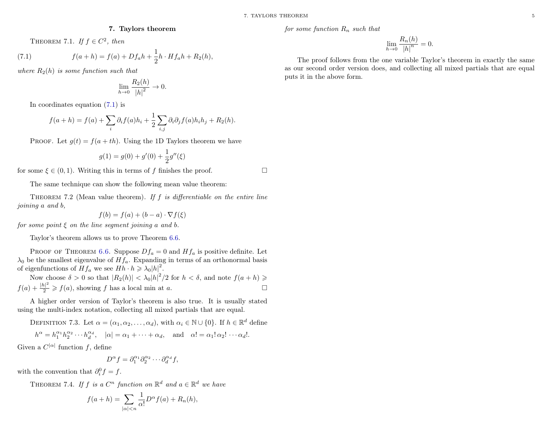#### <span id="page-7-1"></span>7. Taylors theorem

<span id="page-7-0"></span>THEOREM 7.1. If  $f \in C^2$ , then

(7.1) 
$$
f(a+h) = f(a) + Df_a h + \frac{1}{2}h \cdot Hf_a h + R_2(h),
$$

where  $R_2(h)$  is some function such that

$$
\lim_{h \to 0} \frac{R_2(h)}{|h|^2} \to 0.
$$

In coordinates equation [\(7.1\)](#page-7-1) is

$$
f(a+h) = f(a) + \sum_{i} \partial_i f(a) h_i + \frac{1}{2} \sum_{i,j} \partial_i \partial_j f(a) h_i h_j + R_2(h).
$$

PROOF. Let  $g(t) = f(a + th)$ . Using the 1D Taylors theorem we have

$$
g(1) = g(0) + g'(0) + \frac{1}{2}g''(\xi)
$$

for some  $\xi \in (0,1)$ . Writing this in terms of f finishes the proof.

The same technique can show the following mean value theorem:

THEOREM 7.2 (Mean value theorem). If f is differentiable on the entire line joining a and b,

$$
f(b) = f(a) + (b - a) \cdot \nabla f(\xi)
$$

for some point  $\xi$  on the line segment joining a and b.

Taylor's theorem allows us to prove Theorem [6.6.](#page-6-1)

PROOF OF THEOREM [6.6.](#page-6-1) Suppose  $Df_a = 0$  and  $Hf_a$  is positive definite. Let  $\lambda_0$  be the smallest eigenvalue of  $Hf_a$ . Expanding in terms of an orthonormal basis of eigenfunctions of  $Hf_a$  we see  $Hh \cdot h \geq \lambda_0 |h|^2$ .

Now choose  $\delta > 0$  so that  $|R_2(h)| < \lambda_0|h|^2/2$  for  $h < \delta$ , and note  $f(a+h) \geq$  $f(a) + \frac{|h|^2}{2} \geqslant f(a)$ , showing f has a local min at a.

A higher order version of Taylor's theorem is also true. It is usually stated using the multi-index notation, collecting all mixed partials that are equal.

DEFINITION 7.3. Let  $\alpha = (\alpha_1, \alpha_2, \ldots, \alpha_d)$ , with  $\alpha_i \in \mathbb{N} \cup \{0\}$ . If  $h \in \mathbb{R}^d$  define

$$
h^{\alpha} = h_1^{\alpha_1} h_2^{\alpha_2} \cdots h_d^{\alpha_d}, \quad |\alpha| = \alpha_1 + \cdots + \alpha_d, \quad \text{and} \quad \alpha! = \alpha_1! \alpha_2! \cdots \alpha_d!.
$$

Given a  $C^{|\alpha|}$  function f, define

$$
D^{\alpha} f = \partial_1^{\alpha_1} \partial_2^{\alpha_2} \cdots \partial_d^{\alpha_d} f,
$$

with the convention that  $\partial_i^0 f = f$ .

THEOREM 7.4. If f is a  $C^n$  function on  $\mathbb{R}^d$  and  $a \in \mathbb{R}^d$  we have

$$
f(a+h) = \sum_{|\alpha| < n} \frac{1}{\alpha!} D^{\alpha} f(a) + R_n(h),
$$

for some function  $R_n$  such that

$$
\lim_{h \to 0} \frac{R_n(h)}{|h|^n} = 0.
$$

The proof follows from the one variable Taylor's theorem in exactly the same as our second order version does, and collecting all mixed partials that are equal puts it in the above form.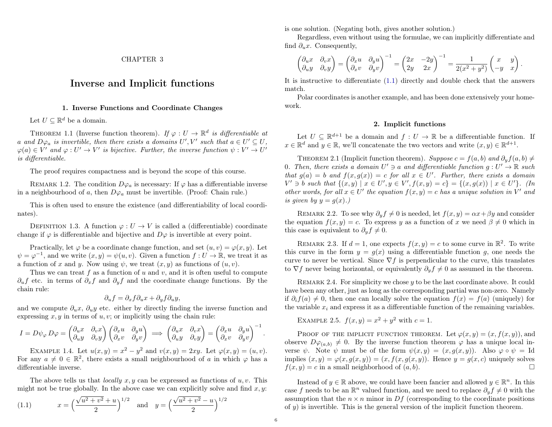### <span id="page-8-0"></span>Inverse and Implicit functions

#### 1. Inverse Functions and Coordinate Changes

<span id="page-8-1"></span>Let  $U \subseteq \mathbb{R}^d$  be a domain.

THEOREM 1.1 (Inverse function theorem). If  $\varphi: U \to \mathbb{R}^d$  is differentiable at a and  $D\varphi_a$  is invertible, then there exists a domains  $U', V'$  such that  $a \in U' \subseteq U$ ,  $\varphi(a) \in V'$  and  $\varphi: U' \to V'$  is bijective. Further, the inverse function  $\psi: V' \to U'$ is differentiable.

The proof requires compactness and is beyond the scope of this course.

REMARK 1.2. The condition  $D\varphi_a$  is necessary: If  $\varphi$  has a differentiable inverse in a neighbourhood of a, then  $D\varphi_a$  must be invertible. (Proof: Chain rule.)

This is often used to ensure the existence (and differentiability of local coordinates).

DEFINITION 1.3. A function  $\varphi: U \to V$  is called a (differentiable) coordinate change if  $\varphi$  is differentiable and bijective and  $D\varphi$  is invertible at every point.

Practically, let  $\varphi$  be a coordinate change function, and set  $(u, v) = \varphi(x, y)$ . Let  $\psi = \varphi^{-1}$ , and we write  $(x, y) = \psi(u, v)$ . Given a function  $f: U \to \mathbb{R}$ , we treat it as a function of x and y. Now using  $\psi$ , we treat  $(x, y)$  as functions of  $(u, v)$ .

Thus we can treat f as a function of u and v, and it is often useful to compute  $\partial_u f$  etc. in terms of  $\partial_x f$  and  $\partial_y f$  and the coordinate change functions. By the chain rule:

$$
\partial_u f = \partial_x f \partial_u x + \partial_y f \partial_u y,
$$

and we compute  $\partial_u x$ ,  $\partial_u y$  etc. either by directly finding the inverse function and expressing  $x, y$  in terms of  $u, v$ ; or implicitly using the chain rule:

$$
I = D\psi_{\varphi} D\varphi = \begin{pmatrix} \partial_u x & \partial_v x \\ \partial_u y & \partial_v y \end{pmatrix} \begin{pmatrix} \partial_x u & \partial_y u \\ \partial_x v & \partial_y v \end{pmatrix} \implies \begin{pmatrix} \partial_u x & \partial_v x \\ \partial_u y & \partial_v y \end{pmatrix} = \begin{pmatrix} \partial_x u & \partial_y u \\ \partial_x v & \partial_y v \end{pmatrix}^{-1}.
$$

EXAMPLE 1.4. Let  $u(x, y) = x^2 - y^2$  and  $v(x, y) = 2xy$ . Let  $\varphi(x, y) = (u, v)$ . For any  $a \neq 0 \in \mathbb{R}^2$ , there exists a small neighbourhood of a in which  $\varphi$  has a differentiable inverse.

The above tells us that *locally*  $x, y$  can be expressed as functions of  $u, v$ . This might not be true globally. In the above case we can explicitly solve and find  $x, y$ :

<span id="page-8-3"></span>(1.1) 
$$
x = \left(\frac{\sqrt{u^2 + v^2} + u}{2}\right)^{1/2} \text{ and } y = \left(\frac{\sqrt{u^2 + v^2} - u}{2}\right)^{1/2}
$$

is one solution. (Negating both, gives another solution.)

Regardless, even without using the formulae, we can implicitly differentiate and find  $\partial_u x$ . Consequently,

$$
\begin{pmatrix} \partial_u x & \partial_v x \\ \partial_u y & \partial_v y \end{pmatrix} = \begin{pmatrix} \partial_x u & \partial_y u \\ \partial_x v & \partial_y v \end{pmatrix}^{-1} = \begin{pmatrix} 2x & -2y \\ 2y & 2x \end{pmatrix}^{-1} = \frac{1}{2(x^2 + y^2)} \begin{pmatrix} x & y \\ -y & x \end{pmatrix}.
$$

It is instructive to differentiate [\(1.1\)](#page-8-3) directly and double check that the answers match.

Polar coordinates is another example, and has been done extensively your homework.

#### 2. Implicit functions

<span id="page-8-2"></span>Let  $U \subseteq \mathbb{R}^{d+1}$  be a domain and  $f: U \to \mathbb{R}$  be a differentiable function. If  $x \in \mathbb{R}^d$  and  $y \in \mathbb{R}$ , we'll concatenate the two vectors and write  $(x, y) \in \mathbb{R}^{d+1}$ .

<span id="page-8-4"></span>THEOREM 2.1 (Implicit function theorem). Suppose  $c = f(a, b)$  and  $\partial_y f(a, b) \neq$ 0. Then, there exists a domain  $U' \ni a$  and differentiable function  $g: U' \to \mathbb{R}$  such that  $g(a) = b$  and  $f(x, g(x)) = c$  for all  $x \in U'$ . Further, there exists a domain  $V' \ni b$  such that  $\{(x, y) \mid x \in U', y \in V', f(x, y) = c\} = \{(x, g(x)) \mid x \in U'\}.$  (In other words, for all  $x \in U'$  the equation  $f(x, y) = c$  has a unique solution in V' and is given by  $y = q(x)$ .

REMARK 2.2. To see why  $\partial_y f \neq 0$  is needed, let  $f(x, y) = \alpha x + \beta y$  and consider the equation  $f(x, y) = c$ . To express y as a function of x we need  $\beta \neq 0$  which in this case is equivalent to  $\partial_y f \neq 0$ .

REMARK 2.3. If  $d = 1$ , one expects  $f(x, y) = c$  to some curve in  $\mathbb{R}^2$ . To write this curve in the form  $y = g(x)$  using a differentiable function g, one needs the curve to never be vertical. Since  $\nabla f$  is perpendicular to the curve, this translates to  $\nabla f$  never being horizontal, or equivalently  $\partial_y f \neq 0$  as assumed in the theorem.

REMARK 2.4. For simplicity we chose y to be the last coordinate above. It could have been any other, just as long as the corresponding partial was non-zero. Namely if  $\partial_i f(a) \neq 0$ , then one can locally solve the equation  $f(x) = f(a)$  (uniquely) for the variable  $x_i$  and express it as a differentiable function of the remaining variables.

EXAMPLE 2.5.  $f(x, y) = x^2 + y^2$  with  $c = 1$ .

PROOF OF THE IMPLICIT FUNCTION THEOREM. Let  $\varphi(x, y) = (x, f(x, y))$ , and observe  $D\varphi_{(a,b)}\neq 0$ . By the inverse function theorem  $\varphi$  has a unique local inverse  $\psi$ . Note  $\psi$  must be of the form  $\psi(x, y) = (x, g(x, y))$ . Also  $\varphi \circ \psi = \text{Id}$ implies  $(x, y) = \varphi(x, g(x, y)) = (x, f(x, g(x, y))$ . Hence  $y = g(x, c)$  uniquely solves  $f(x, y) = c$  in a small neighborhood of  $(a, b)$ .

Instead of  $y \in \mathbb{R}$  above, we could have been fancier and allowed  $y \in \mathbb{R}^n$ . In this case f needs to be an  $\mathbb{R}^n$  valued function, and we need to replace  $\partial_y f \neq 0$  with the assumption that the  $n \times n$  minor in Df (corresponding to the coordinate positions of  $y$ ) is invertible. This is the general version of the implicit function theorem.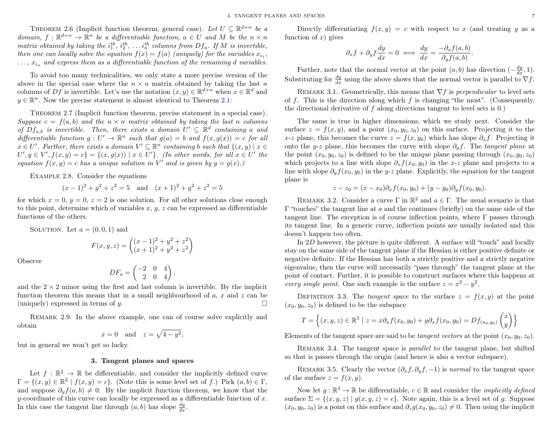THEOREM 2.6 (Implicit function theorem, general case). Let  $U \subseteq \mathbb{R}^{d+n}$  be a domain,  $f: \mathbb{R}^{d+n} \to \mathbb{R}^n$  be a differentiable function,  $a \in U$  and M be the  $n \times n$ matrix obtained by taking the  $i_1^{th}$ ,  $i_2^{th}$ , ...  $i_n^{th}$  columns from  $Df_a$ . If M is invertible, then one can locally solve the equation  $f(x) = f(a)$  (uniquely) for the variables  $x_{i_1}$ ,  $\ldots$ ,  $x_{i_n}$  and express them as a differentiable function of the remaining d variables.

To avoid too many technicalities, we only state a more precise version of the above in the special case where the  $n \times n$  matrix obtained by taking the last n columns of Df is invertible. Let's use the notation  $(x, y) \in \mathbb{R}^{d+n}$  when  $x \in \mathbb{R}^d$  and  $y \in \mathbb{R}^n$ . Now the precise statement is almost identical to Theorem [2.1:](#page-8-4)

Theorem 2.7 (Implicit function theorem, precise statement in a special case). Suppose  $c = f(a, b)$  and the  $n \times n$  matrix obtained by taking the last n columns of  $Df_{a,b}$  is invertible. Then, there exists a domain  $U' \subseteq \mathbb{R}^d$  containing a and differentiable function  $g: U' \to \mathbb{R}^n$  such that  $g(a) = b$  and  $f(x, g(x)) = c$  for all  $x \in U'$ . Further, there exists a domain  $V' \subseteq \mathbb{R}^n$  containing b such that  $\{(x, y) \mid x \in$  $U', y \in V', f(x, y) = c$  = { $(x, g(x)) | x \in U'$ }. (In other words, for all  $x \in U'$  the equation  $f(x, y) = c$  has a unique solution in V' and is given by  $y = g(x)$ .

Example 2.8. Consider the equations

$$
(x-1)^2 + y^2 + z^2 = 5
$$
 and  $(x+1)^2 + y^2 + z^2 = 5$ 

for which  $x = 0, y = 0, z = 2$  is one solution. For all other solutions close enough to this point, determine which of variables  $x, y, z$  can be expressed as differentiable functions of the others.

SOLUTION. Let  $a = (0, 0, 1)$  and

$$
F(x, y, z) = \begin{pmatrix} (x - 1)^2 + y^2 + z^2 \\ (x + 1)^2 + y^2 + z^2 \end{pmatrix}
$$

Observe

$$
DF_a = \begin{pmatrix} -2 & 0 & 4 \\ 2 & 0 & 4 \end{pmatrix},
$$

and the  $2 \times 2$  minor using the first and last column is invertible. By the implicit function theorem this means that in a small neighbourhood of  $a, x$  and  $z$  can be (uniquely) expressed in terms of  $y$ .

Remark 2.9. In the above example, one can of course solve explicitly and obtain

$$
x = 0 \quad \text{and} \quad z = \sqrt{4 - y^2},
$$

but in general we won't get so lucky.

#### 3. Tangent planes and spaces

<span id="page-9-0"></span>Let  $f : \mathbb{R}^2 \to \mathbb{R}$  be differentiable, and consider the implicitly defined curve  $\Gamma = \{(x, y) \in \mathbb{R}^2 \mid f(x, y) = c\}.$  (Note this is some level set of f.) Pick  $(a, b) \in \Gamma$ , and suppose  $\partial_y f(a, b) \neq 0$ . By the implicit function theorem, we know that the y-coordinate of this curve can locally be expressed as a differentiable function of  $x$ . In this case the tangent line through  $(a, b)$  has slope  $\frac{dy}{dx}$ .

Directly differentiating  $f(x, y) = c$  with respect to x (and treating y as a function of  $x$ ) gives

$$
\partial_x f + \partial_y f \frac{dy}{dx} = 0 \iff \frac{dy}{dx} = \frac{-\partial_x f(a, b)}{\partial_y f(a, b)}.
$$

Further, note that the normal vector at the point  $(a, b)$  has direction  $\left(-\frac{dy}{dx}, 1\right)$ . Substituting for  $\frac{dy}{dx}$  using the above shows that the normal vector is parallel to  $\nabla f$ .

REMARK 3.1. Geometrically, this means that  $\nabla f$  is *perpendicular* to level sets of f. This is the direction along which f is changing "the most". (Consequently, the directional derivative of f along directions tangent to level sets is 0.)

The same is true in higher dimensions, which we study next. Consider the surface  $z = f(x, y)$ , and a point  $(x_0, y_0, z_0)$  on this surface. Projecting it to the x-z plane, this becomes the curve  $z = f(x, y_0)$  which has slope  $\partial_x f$ . Projecting it onto the y-z plane, this becomes the curve with slope  $\partial_{\eta}f$ . The tangent plane at the point  $(x_0, y_0, z_0)$  is defined to be the unique plane passing through  $(x_0, y_0, z_0)$ which projects to a line with slope  $\partial_x f(x_0, y_0)$  in the x-z plane and projects to a line with slope  $\partial_y f(x_0, y_0)$  in the y-z plane. Explicitly, the equation for the tangent plane is

$$
z - z_0 = (x - x_0)\partial_x f(x_0, y_0) + (y - y_0)\partial_y f(x_0, y_0).
$$

REMARK 3.2. Consider a curve  $\Gamma$  in  $\mathbb{R}^2$  and  $a \in \Gamma$ . The usual scenario is that  $Γ$  "touches" the tangent line at a and the continues (briefly) on the same side of the tangent line. The exception is of course inflection points, where  $\Gamma$  passes through its tangent line. In a generic curve, inflection points are usually isolated and this doesn't happen too often.

In 2D however, the picture is quite different. A surface will "touch" and locally stay on the same side of the tangent plane if the Hessian is either positive definite or negative definite. If the Hessian has both a strictly positive and a strictly negative eigenvalue, then the curve will necessarily "pass through" the tangent plane at the point of contact. Further, it is possible to construct surfaces where this happens at every single point. One such example is the surface  $z = x^2 - y^2$ .

DEFINITION 3.3. The tangent space to the surface  $z = f(x, y)$  at the point  $(x_0, y_0, z_0)$  is defined to be the subspace

$$
T = \left\{ (x, y, z) \in \mathbb{R}^3 \mid z = x \partial_x f(x_0, y_0) + y \partial_x f(x_0, y_0) = Df_{(x_0, y_0)} \begin{pmatrix} x \\ y \end{pmatrix} \right\}
$$

Elements of the tangent space are said to be *tangent vectors* at the point  $(x_0, y_0, z_0)$ .

REMARK 3.4. The tangent space is *parallel* to the tangent plane, but shifted so that is passes through the origin (and hence is also a vector subspace).

REMARK 3.5. Clearly the vector  $(\partial_x f, \partial_y f, -1)$  is normal to the tangent space of the surface  $z = f(x, y)$ .

Now let  $g: \mathbb{R}^3 \to \mathbb{R}$  be differentiable,  $c \in \mathbb{R}$  and consider the *implicitly defined* surface  $\Sigma = \{(x, y, z) | g(x, y, z) = c\}$ . Note again, this is a level set of g. Suppose  $(x_0, y_0, z_0)$  is a point on this surface and  $\partial_z g(x_0, y_0, z_0) \neq 0$ . Then using the implicit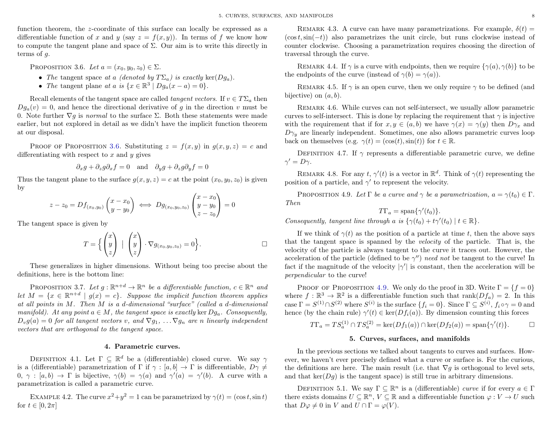function theorem, the z-coordinate of this surface can locally be expressed as a differentiable function of x and y (say  $z = f(x, y)$ ). In terms of f we know how to compute the tangent plane and space of  $\Sigma$ . Our aim is to write this directly in terms of g.

<span id="page-10-2"></span>PROPOSITION 3.6. Let  $a = (x_0, y_0, z_0) \in \Sigma$ .

- The tangent space at a (denoted by  $T\Sigma_a$ ) is exactly ker( $Dq_a$ ).
- The tangent plane at a is  $\{x \in \mathbb{R}^3 \mid Dg_a(x-a) = 0\}.$

Recall elements of the tangent space are called *tangent vectors*. If  $v \in T\Sigma_a$  then  $D_{q_a}(v) = 0$ , and hence the directional derivative of q in the direction v must be 0. Note further  $\nabla q$  is *normal* to the surface  $\Sigma$ . Both these statements were made earlier, but not explored in detail as we didn't have the implicit function theorem at our disposal.

PROOF OF PROPOSITION [3.6.](#page-10-2) Substituting  $z = f(x, y)$  in  $q(x, y, z) = c$  and differentiating with respect to  $x$  and  $y$  gives

$$
\partial_x g + \partial_z g \partial_x f = 0
$$
 and  $\partial_y g + \partial_z g \partial_y f = 0$ 

Thus the tangent plane to the surface  $q(x, y, z) = c$  at the point  $(x_0, y_0, z_0)$  is given by

$$
z - z_0 = Df_{(x_0, y_0)}\begin{pmatrix} x - x_0 \ y - y_0 \end{pmatrix} \iff Dg_{(x_0, y_0, z_0)}\begin{pmatrix} x - x_0 \ y - y_0 \ z - z_0 \end{pmatrix} = 0
$$

The tangent space is given by

$$
T = \left\{ \begin{pmatrix} x \\ y \\ z \end{pmatrix} \mid \begin{pmatrix} x \\ y \\ z \end{pmatrix} \cdot \nabla g_{(x_0, y_0, z_0)} = 0 \right\}.
$$

These generalizes in higher dimensions. Without being too precise about the definitions, here is the bottom line:

PROPOSITION 3.7. Let  $g: \mathbb{R}^{n+d} \to \mathbb{R}^n$  be a differentiable function,  $c \in \mathbb{R}^n$  and let  $M = \{x \in \mathbb{R}^{n+d} \mid g(x) = c\}$ . Suppose the implicit function theorem applies at all points in M. Then M is a d-dimensional "surface" (called a d-dimensional manifold). At any point  $a \in M$ , the tangent space is exactly ker  $Dq_a$ . Consequently,  $D_v g(a) = 0$  for all tangent vectors v, and  $\nabla g_1, \ldots \nabla g_n$  are n linearly independent vectors that are orthogonal to the tangent space.

#### 4. Parametric curves.

<span id="page-10-0"></span>DEFINITION 4.1. Let  $\Gamma \subseteq \mathbb{R}^d$  be a (differentiable) closed curve. We say  $\gamma$ is a (differentiable) parametrization of  $\Gamma$  if  $\gamma : [a, b] \to \Gamma$  is differentiable,  $D\gamma \neq$  $(0, \gamma : [a, b] \to \Gamma$  is bijective,  $\gamma(b) = \gamma(a)$  and  $\gamma'(a) = \gamma'(b)$ . A curve with a parametrization is called a parametric curve.

EXAMPLE 4.2. The curve  $x^2+y^2=1$  can be parametrized by  $\gamma(t) = (\cos t, \sin t)$ for  $t \in [0, 2\pi]$ 

REMARK 4.3. A curve can have many parametrizations. For example,  $\delta(t)$  =  $(\cos t, \sin(-t))$  also parametrizes the unit circle, but runs clockwise instead of counter clockwise. Choosing a parametrization requires choosing the direction of traversal through the curve.

REMARK 4.4. If  $\gamma$  is a curve with endpoints, then we require  $\{\gamma(a), \gamma(b)\}\)$  to be the endpoints of the curve (instead of  $\gamma(b) = \gamma(a)$ ).

REMARK 4.5. If  $\gamma$  is an open curve, then we only require  $\gamma$  to be defined (and bijective) on  $(a, b)$ .

Remark 4.6. While curves can not self-intersect, we usually allow parametric curves to self-intersect. This is done by replacing the requirement that  $\gamma$  is injective with the requirement that if for  $x, y \in (a, b)$  we have  $\gamma(x) = \gamma(y)$  then  $D\gamma_x$  and  $D\gamma_y$  are linearly independent. Sometimes, one also allows parametric curves loop back on themselves (e.g.  $\gamma(t) = (\cos(t), \sin(t))$  for  $t \in \mathbb{R}$ .

DEFINITION 4.7. If  $\gamma$  represents a differentiable parametric curve, we define  $\gamma' = D\gamma$ .

REMARK 4.8. For any  $t, \gamma'(t)$  is a vector in  $\mathbb{R}^d$ . Think of  $\gamma(t)$  representing the position of a particle, and  $\gamma'$  to represent the velocity.

<span id="page-10-3"></span>PROPOSITION 4.9. Let  $\Gamma$  be a curve and  $\gamma$  be a parametrization,  $a = \gamma(t_0) \in \Gamma$ . Then

$$
T\Gamma_a = \text{span}\{\gamma'(t_0)\}.
$$

Consequently, tangent line through a is  $\{\gamma(t_0) + t\gamma'(t_0) \mid t \in \mathbb{R}\}.$ 

If we think of  $\gamma(t)$  as the position of a particle at time t, then the above says that the tangent space is spanned by the velocity of the particle. That is, the velocity of the particle is always tangent to the curve it traces out. However, the acceleration of the particle (defined to be  $\gamma''$ ) need not be tangent to the curve! In fact if the magnitude of the velocity  $|\gamma'|$  is constant, then the acceleration will be perpendicular to the curve!

PROOF OF PROPOSITION [4.9.](#page-10-3) We only do the proof in 3D. Write  $\Gamma = \{f = 0\}$ where  $f : \mathbb{R}^3 \to \mathbb{R}^2$  is a differentiable function such that  $\text{rank}(Df_a) = 2$ . In this case  $\Gamma = S^{(1)} \cap S^{(2)}$  where  $S^{(i)}$  is the surface  $\{f_i = 0\}$ . Since  $\Gamma \subseteq S^{(i)}$ ,  $f_i \circ \gamma = 0$  and hence (by the chain rule)  $\gamma'(t) \in \text{ker}(Df_i(a))$ . By dimension counting this forces

$$
T\Gamma_a = TS_a^{(1)} \cap TS_a^{(2)} = \ker(Df_1(a)) \cap \ker(Df_2(a)) = \text{span}\{\gamma'(t)\}.
$$

#### 5. Curves, surfaces, and manifolds

<span id="page-10-1"></span>In the previous sections we talked about tangents to curves and surfaces. However, we haven't ever precisely defined what a curve or surface is. For the curious, the definitions are here. The main result (i.e. that  $\nabla g$  is orthogonal to level sets, and that  $\ker(Dq)$  is the tangent space) is still true in arbitrary dimensions.

DEFINITION 5.1. We say  $\Gamma \subseteq \mathbb{R}^n$  is a (differentiable) curve if for every  $a \in \Gamma$ there exists domains  $U \subseteq \mathbb{R}^n$ ,  $V \subseteq \mathbb{R}$  and a differentiable function  $\varphi: V \to U$  such that  $D\varphi \neq 0$  in V and  $U \cap \Gamma = \varphi(V)$ .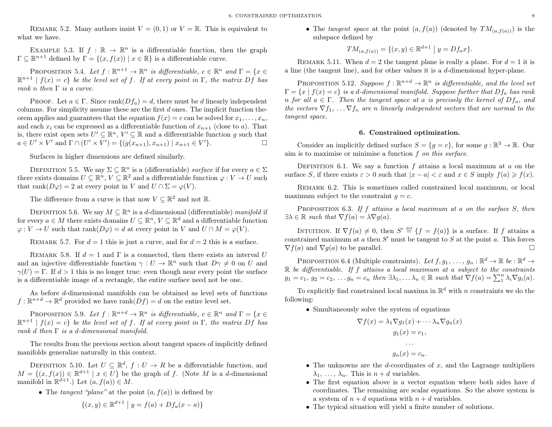REMARK 5.2. Many authors insist  $V = (0, 1)$  or  $V = \mathbb{R}$ . This is equivalent to what we have.

EXAMPLE 5.3. If  $f : \mathbb{R} \to \mathbb{R}^n$  is a differentiable function, then the graph  $\Gamma \subseteq \mathbb{R}^{n+1}$  defined by  $\Gamma = \{(x, f(x)) \mid x \in \mathbb{R}\}\$ is a differentiable curve.

PROPOSITION 5.4. Let  $f : \mathbb{R}^{n+1} \to \mathbb{R}^n$  is differentiable,  $c \in \mathbb{R}^n$  and  $\Gamma = \{x \in \mathbb{R}^n : \mathbb{R}^n \times \mathbb{R}^n\}$  $\mathbb{R}^{n+1} | f(x) = c$  be the level set of f. If at every point in  $\Gamma$ , the matrix  $Df$  has rank n then  $\Gamma$  is a curve.

PROOF. Let  $a \in \Gamma$ . Since rank $(Df_a) = d$ , there must be d linearly independent columns. For simplicity assume these are the first  $d$  ones. The implicit function theorem applies and guarantees that the equation  $f(x) = c$  can be solved for  $x_1, \ldots, x_n$ , and each  $x_i$  can be expressed as a differentiable function of  $x_{n+1}$  (close to a). That is, there exist open sets  $U' \subseteq \mathbb{R}^n$ ,  $V' \subseteq \mathbb{R}$  and a differentiable function g such that  $a \in U' \times V'$  and  $\Gamma \cap (U' \times V') = \{(g(x_{n+1}), x_{n+1}) \mid x_{n+1} \in V'\}.$ 

Surfaces in higher dimensions are defined similarly.

DEFINITION 5.5. We say  $\Sigma \subseteq \mathbb{R}^n$  is a (differentiable) surface if for every  $a \in \Sigma$ there exists domains  $U \subseteq \mathbb{R}^n$ ,  $V \subseteq \mathbb{R}^2$  and a differentiable function  $\varphi: V \to U$  such that rank $(D\varphi) = 2$  at every point in V and  $U \cap \Sigma = \varphi(V)$ .

The difference from a curve is that now  $V \subseteq \mathbb{R}^2$  and not  $\mathbb{R}$ .

DEFINITION 5.6. We say  $M \subseteq \mathbb{R}^n$  is a d-dimensional (differentiable) manifold if for every  $a \in M$  there exists domains  $U \subseteq \mathbb{R}^n$ ,  $V \subseteq \mathbb{R}^d$  and a differentiable function  $\varphi: V \to U$  such that rank $(D\varphi) = d$  at every point in V and  $U \cap M = \varphi(V)$ .

REMARK 5.7. For  $d = 1$  this is just a curve, and for  $d = 2$  this is a surface.

REMARK 5.8. If  $d = 1$  and  $\Gamma$  is a connected, then there exists an interval U and an injective differentiable function  $\gamma: U \to \mathbb{R}^n$  such that  $D\gamma \neq 0$  on U and  $\gamma(U) = \Gamma$ . If  $d > 1$  this is no longer true: even though near every point the surface is a differentiable image of a rectangle, the entire surface need not be one.

As before d-dimensional manifolds can be obtained as level sets of functions  $f: \mathbb{R}^{n+d} \to \mathbb{R}^d$  provided we have rank $(Df) = d$  on the entire level set.

PROPOSITION 5.9. Let  $f : \mathbb{R}^{n+d} \to \mathbb{R}^n$  is differentiable,  $c \in \mathbb{R}^n$  and  $\Gamma = \{x \in \mathbb{R}^n : x \in \mathbb{R}^n\}$  $\mathbb{R}^{n+1} | f(x) = c$  be the level set of f. If at every point in  $\Gamma$ , the matrix Df has rank d then  $\Gamma$  is a d-dimensional manifold.

The results from the previous section about tangent spaces of implicitly defined manifolds generalize naturally in this context.

DEFINITION 5.10. Let  $U \subseteq \mathbb{R}^d$ ,  $f: U \to R$  be a differentiable function, and  $M = \{(x, f(x)) \in \mathbb{R}^{d+1} \mid x \in U\}$  be the graph of f. (Note M is a d-dimensional manifold in  $\mathbb{R}^{d+1}$ .) Let  $(a, f(a)) \in M$ .

• The tangent "plane" at the point  $(a, f(a))$  is defined by

$$
\{(x, y) \in \mathbb{R}^{d+1} \mid y = f(a) + Df_a(x - a)\}\
$$

• The tangent space at the point  $(a, f(a))$  (denoted by  $TM_{(a, f(a))}$ ) is the subspace defined by

$$
TM_{(a,f(a))} = \{(x,y) \in \mathbb{R}^{d+1} \mid y = Df_a x\}.
$$

REMARK 5.11. When  $d = 2$  the tangent plane is really a plane. For  $d = 1$  it is a line (the tangent line), and for other values it is a  $d$ -dimensional hyper-plane.

PROPOSITION 5.12. Suppose  $f : \mathbb{R}^{n+d} \to \mathbb{R}^n$  is differentiable, and the level set  $\Gamma = \{x \mid f(x) = c\}$  is a d-dimensional manifold. Suppose further that  $Df_a$  has rank n for all  $a \in \Gamma$ . Then the tangent space at a is precisely the kernel of  $Df_a$ , and the vectors  $\nabla f_1, \ldots \nabla f_n$  are n linearly independent vectors that are normal to the tangent space.

#### 6. Constrained optimization.

<span id="page-11-0"></span>Consider an implicitly defined surface  $S = \{g = c\}$ , for some  $g : \mathbb{R}^3 \to \mathbb{R}$ . Our aim is to maximise or minimise a function  $f$  on this surface.

DEFINITION 6.1. We say a function f attains a local maximum at  $a$  on the surface S, if there exists  $\varepsilon > 0$  such that  $|x - a| < \varepsilon$  and  $x \in S$  imply  $f(a) \geq f(x)$ .

Remark 6.2. This is sometimes called constrained local maximum, or local maximum subject to the constraint  $q = c$ .

PROPOSITION 6.3. If f attains a local maximum at a on the surface  $S$ , then  $\exists \lambda \in \mathbb{R}$  such that  $\nabla f(a) = \lambda \nabla g(a)$ .

INTUITION. If  $\nabla f(a) \neq 0$ , then  $S' \stackrel{\text{def}}{=} \{f = f(a)\}\$ is a surface. If f attains a constrained maximum at  $a$  then  $S'$  must be tangent to  $S$  at the point  $a$ . This forces  $\nabla f(a)$  and  $\nabla g(a)$  to be parallel.

PROPOSITION 6.4 (Multiple constraints). Let  $f, g_1, \ldots, g_n : \mathbb{R}^d \to \mathbb{R}$  be  $: \mathbb{R}^d \to$  $\mathbb R$  be differentiable. If f attains a local maximum at a subject to the constraints  $g_1 = c_1, g_2 = c_2, \ldots g_n = c_n$  then  $\exists \lambda_1, \ldots \lambda_n \in \mathbb{R}$  such that  $\nabla f(a) = \sum_1^n \lambda_i \nabla g_i(a)$ .

To explicitly find constrained local maxima in  $\mathbb{R}^d$  with n constraints we do the following:

• Simultaneously solve the system of equations

$$
\nabla f(x) = \lambda_1 \nabla g_1(x) + \cdots \lambda_n \nabla g_n(x)
$$

$$
g_1(x) = c_1,
$$

$$
\cdots
$$

$$
g_n(x) = c_n.
$$

- The unknowns are the *d*-coordinates of  $x$ , and the Lagrange multipliers  $\lambda_1, \ldots, \lambda_n$ . This is  $n + d$  variables.
- The first equation above is a vector equation where both sides have  $d$ coordinates. The remaining are scalar equations. So the above system is a system of  $n + d$  equations with  $n + d$  variables.
- The typical situation will yield a finite number of solutions.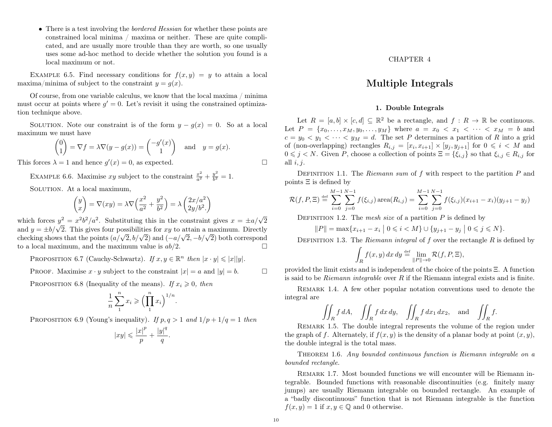• There is a test involving the *bordered Hessian* for whether these points are constrained local minima / maxima or neither. These are quite complicated, and are usually more trouble than they are worth, so one usually uses some ad-hoc method to decide whether the solution you found is a local maximum or not.

EXAMPLE 6.5. Find necessary conditions for  $f(x, y) = y$  to attain a local maxima/minima of subject to the constraint  $y = q(x)$ .

Of course, from one variable calculus, we know that the local maxima / minima must occur at points where  $g' = 0$ . Let's revisit it using the constrained optimization technique above.

SOLUTION. Note our constraint is of the form  $y - g(x) = 0$ . So at a local maximum we must have

$$
\begin{pmatrix} 0 \\ 1 \end{pmatrix} = \nabla f = \lambda \nabla (y - g(x)) = \begin{pmatrix} -g'(x) \\ 1 \end{pmatrix} \text{ and } y = g(x).
$$

This forces  $\lambda = 1$  and hence  $g'(x) = 0$ , as expected.

EXAMPLE 6.6. Maximise xy subject to the constraint  $\frac{x^2}{a^2} + \frac{y^2}{b^2}$  $\frac{y}{b^2}=1.$ SOLUTION. At a local maximum,

$$
\begin{pmatrix} y \\ x \end{pmatrix} = \nabla(xy) = \lambda \nabla \left( \frac{x^2}{a^2} + \frac{y^2}{b^2} \right) = \lambda \begin{pmatrix} 2x/a^2 \\ 2y/b^2 \end{pmatrix}
$$

which forces  $y^2 = x^2b^2/a^2$ . Substituting this in the constraint gives  $x = \pm a/\sqrt{2}$ which forces  $y^2 = x^2b^2/a^2$ . Substituting this in the constraint gives  $x = \pm a/\sqrt{2}$  and  $y = \pm b/\sqrt{2}$ . This gives four possibilities for xy to attain a maximum. Directly and  $y = \pm o/\sqrt{2}$ . This gives four possibilities for xy to attain a maximum. Directly checking shows that the points  $(a/\sqrt{2}, b/\sqrt{2})$  and  $(-a/\sqrt{2}, -b/\sqrt{2})$  both correspond to a local maximum, and the maximum value is  $ab/2$ .

PROPOSITION 6.7 (Cauchy-Schwartz). If  $x, y \in \mathbb{R}^n$  then  $|x \cdot y| \leq |x||y|$ .

PROOF. Maximise  $x \cdot y$  subject to the constraint  $|x| = a$  and  $|y| = b$ .

PROPOSITION 6.8 (Inequality of the means). If  $x_i \geq 0$ , then

$$
\frac{1}{n}\sum_{1}^{n}x_{i}\geqslant\Bigl(\prod_{1}^{n}x_{i}\Bigr)^{1/n}.
$$

PROPOSITION 6.9 (Young's inequality). If  $p, q > 1$  and  $1/p + 1/q = 1$  then

$$
|xy| \leqslant \frac{|x|^p}{p} + \frac{|y|^q}{q}.
$$

CHAPTER 4

### Multiple Integrals

#### 1. Double Integrals

<span id="page-12-1"></span><span id="page-12-0"></span>Let  $R = [a, b] \times [c, d] \subseteq \mathbb{R}^2$  be a rectangle, and  $f : R \to \mathbb{R}$  be continuous. Let  $P = \{x_0, \ldots, x_M, y_0, \ldots, y_M\}$  where  $a = x_0 < x_1 < \cdots < x_M = b$  and  $c = y_0 < y_1 < \cdots < y_M = d$ . The set P determines a partition of R into a grid of (non-overlapping) rectangles  $R_{i,j} = [x_i, x_{i+1}] \times [y_j, y_{j+1}]$  for  $0 \leq i \leq M$  and  $0 \leq j \leq N$ . Given P, choose a collection of points  $\Xi = {\xi_{i,j}}$  so that  $\xi_{i,j} \in R_{i,j}$  for all  $i, j$ .

DEFINITION 1.1. The Riemann sum of f with respect to the partition  $P$  and points Ξ is defined by

$$
\mathcal{R}(f, P, \Xi) \stackrel{\text{def}}{=} \sum_{i=0}^{M-1} \sum_{j=0}^{N-1} f(\xi_{i,j}) \operatorname{area}(R_{i,j}) = \sum_{i=0}^{M-1} \sum_{j=0}^{N-1} f(\xi_{i,j}) (x_{i+1} - x_i)(y_{j+1} - y_j)
$$

DEFINITION 1.2. The mesh size of a partition  $P$  is defined by

$$
||P|| = \max\{x_{i+1} - x_i \mid 0 \leq i < M\} \cup \{y_{j+1} - y_j \mid 0 \leq j \leq N\}.
$$

DEFINITION 1.3. The Riemann integral of f over the rectangle R is defined by

$$
\int_{R} f(x, y) dx dy \stackrel{\text{def}}{=} \lim_{\|P\| \to 0} \mathcal{R}(f, P, \Xi),
$$

provided the limit exists and is independent of the choice of the points  $\Xi$ . A function is said to be *Riemann integrable* over  $R$  if the Riemann integral exists and is finite.

Remark 1.4. A few other popular notation conventions used to denote the integral are

$$
\iint_R f \, dA, \quad \iint_R f \, dx \, dy, \quad \iint_R f \, dx_1 \, dx_2, \quad \text{and} \quad \iint_R f.
$$

REMARK 1.5. The double integral represents the volume of the region under the graph of f. Alternately, if  $f(x, y)$  is the density of a planar body at point  $(x, y)$ , the double integral is the total mass.

Theorem 1.6. Any bounded continuous function is Riemann integrable on a bounded rectangle.

REMARK 1.7. Most bounded functions we will encounter will be Riemann integrable. Bounded functions with reasonable discontinuities (e.g. finitely many jumps) are usually Riemann integrable on bounded rectangle. An example of a "badly discontinuous" function that is not Riemann integrable is the function  $f(x, y) = 1$  if  $x, y \in \mathbb{Q}$  and 0 otherwise.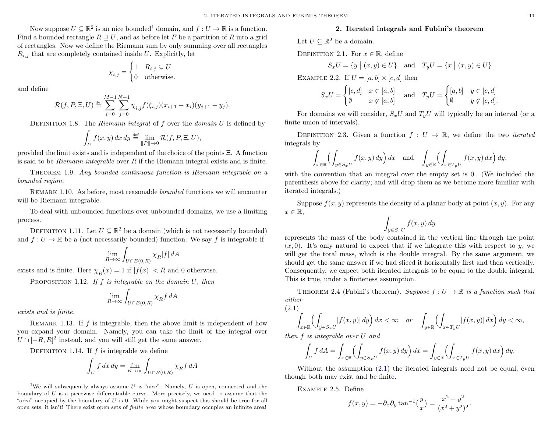Now suppose  $U \subseteq \mathbb{R}^2$  is an nice bounded<sup>[1](#page-13-1)</sup> domain, and  $f: U \to \mathbb{R}$  is a function. Find a bounded rectangle  $R \supseteq U$ , and as before let P be a partition of R into a grid of rectangles. Now we define the Riemann sum by only summing over all rectangles  $R_{i,j}$  that are completely contained inside U. Explicitly, let

$$
\chi_{i,j} = \begin{cases} 1 & R_{i,j} \subseteq U \\ 0 & \text{otherwise.} \end{cases}
$$

and define

$$
\mathcal{R}(f, P, \Xi, U) \stackrel{\text{def}}{=} \sum_{i=0}^{M-1} \sum_{j=0}^{N-1} \chi_{i,j} f(\xi_{i,j}) (x_{i+1} - x_i) (y_{j+1} - y_j).
$$

DEFINITION 1.8. The Riemann integral of  $f$  over the domain  $U$  is defined by

$$
\int_U f(x, y) dx dy \stackrel{\text{def}}{=} \lim_{\|P\| \to 0} \mathcal{R}(f, P, \Xi, U),
$$

provided the limit exists and is independent of the choice of the points Ξ. A function is said to be *Riemann integrable* over  $R$  if the Riemann integral exists and is finite.

Theorem 1.9. Any bounded continuous function is Riemann integrable on a bounded region.

Remark 1.10. As before, most reasonable bounded functions we will encounter will be Riemann integrable.

To deal with unbounded functions over unbounded domains, we use a limiting process.

DEFINITION 1.11. Let  $U \subseteq \mathbb{R}^2$  be a domain (which is not necessarily bounded) and  $f: U \to \mathbb{R}$  be a (not necessarily bounded) function. We say f is integrable if

$$
\lim_{R \to \infty} \int_{U \cap B(0,R)} \chi_R |f| \, dA
$$

exists and is finite. Here  $\chi_R(x) = 1$  if  $|f(x)| < R$  and 0 otherwise.

PROPOSITION 1.12. If f is integrable on the domain  $U$ , then

$$
\lim_{R \to \infty} \int_{U \cap B(0,R)} \chi_R f \, dA
$$

exists and is finite.

REMARK 1.13. If  $f$  is integrable, then the above limit is independent of how you expand your domain. Namely, you can take the limit of the integral over  $U \cap [-R, R]^2$  instead, and you will still get the same answer.

DEFINITION 1.14. If  $f$  is integrable we define

$$
\int_U f \, dx \, dy = \lim_{R \to \infty} \int_{U \cap B(0,R)} \chi_R f \, dA
$$

#### 2. Iterated integrals and Fubini's theorem

<span id="page-13-0"></span>Let  $U \subseteq \mathbb{R}^2$  be a domain.

DEFINITION 2.1. For  $x \in \mathbb{R}$ , define

$$
S_x U = \{ y \mid (x, y) \in U \} \quad \text{and} \quad T_y U = \{ x \mid (x, y) \in U \}
$$

EXAMPLE 2.2. If  $U = [a, b] \times [c, d]$  then

$$
S_x U = \begin{cases} [c,d] & x \in [a,b] \\ \emptyset & x \notin [a,b] \end{cases} \text{ and } T_y U = \begin{cases} [a,b] & y \in [c,d] \\ \emptyset & y \notin [c,d]. \end{cases}
$$

For domains we will consider,  $S_xU$  and  $T_yU$  will typically be an interval (or a finite union of intervals).

DEFINITION 2.3. Given a function  $f: U \to \mathbb{R}$ , we define the two *iterated* integrals by

$$
\int_{x \in \mathbb{R}} \left( \int_{y \in S_x U} f(x, y) \, dy \right) dx \quad \text{and} \quad \int_{y \in \mathbb{R}} \left( \int_{x \in T_y U} f(x, y) \, dx \right) dy,
$$

with the convention that an integral over the empty set is 0. (We included the parenthesis above for clarity; and will drop them as we become more familiar with iterated integrals.)

Suppose  $f(x, y)$  represents the density of a planar body at point  $(x, y)$ . For any  $x \in \mathbb{R}$ ,

$$
\int_{y \in S_x U} f(x, y) \, dy
$$

represents the mass of the body contained in the vertical line through the point  $(x, 0)$ . It's only natural to expect that if we integrate this with respect to y, we will get the total mass, which is the double integral. By the same argument, we should get the same answer if we had sliced it horizontally first and then vertically. Consequently, we expect both iterated integrals to be equal to the double integral. This is true, under a finiteness assumption.

THEOREM 2.4 (Fubini's theorem). Suppose  $f: U \to \mathbb{R}$  is a function such that either (2.1)

<span id="page-13-2"></span>
$$
\int_{x \in \mathbb{R}} \left( \int_{y \in S_x U} |f(x, y)| dy \right) dx < \infty \quad \text{or} \quad \int_{y \in \mathbb{R}} \left( \int_{x \in T_y U} |f(x, y)| dx \right) dy < \infty,
$$

then f is integrable over U and

$$
\int_U f \, dA = \int_{x \in \mathbb{R}} \left( \int_{y \in S_x U} f(x, y) \, dy \right) dx = \int_{y \in \mathbb{R}} \left( \int_{x \in T_y U} f(x, y) \, dx \right) dy.
$$

Without the assumption  $(2.1)$  the iterated integrals need not be equal, even though both may exist and be finite.

Example 2.5. Define

$$
f(x, y) = -\partial_x \partial_y \tan^{-1} \left(\frac{y}{x}\right) = \frac{x^2 - y^2}{(x^2 + y^2)^2}.
$$

<span id="page-13-1"></span><sup>&</sup>lt;sup>1</sup>We will subsequently always assume U is "nice". Namely, U is open, connected and the boundary of  $U$  is a piecewise differentiable curve. More precisely, we need to assume that the "area" occupied by the boundary of  $U$  is 0. While you might suspect this should be true for all open sets, it isn't! There exist open sets of finite area whose boundary occupies an infinite area!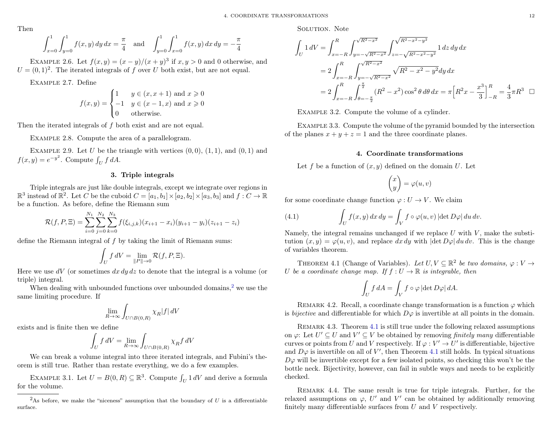Then

$$
\int_{x=0}^{1} \int_{y=0}^{1} f(x, y) dy dx = \frac{\pi}{4} \text{ and } \int_{y=0}^{1} \int_{x=0}^{1} f(x, y) dx dy = -\frac{\pi}{4}
$$

EXAMPLE 2.6. Let  $f(x, y) = (x - y)/(x + y)^3$  if  $x, y > 0$  and 0 otherwise, and  $U = (0, 1)^2$ . The iterated integrals of f over U both exist, but are not equal.

Example 2.7. Define

$$
f(x,y) = \begin{cases} 1 & y \in (x, x+1) \text{ and } x \geq 0 \\ -1 & y \in (x-1, x) \text{ and } x \geq 0 \\ 0 & \text{otherwise.} \end{cases}
$$

Then the iterated integrals of f both exist and are not equal.

EXAMPLE 2.8. Compute the area of a parallelogram.

EXAMPLE 2.9. Let U be the triangle with vertices  $(0,0)$ ,  $(1,1)$ , and  $(0,1)$  and  $f(x,y) = e^{-y^2}$ . Compute  $\int_U f dA$ .

#### 3. Triple integrals

<span id="page-14-0"></span>Triple integrals are just like double integrals, except we integrate over regions in  $\mathbb{R}^3$  instead of  $\mathbb{R}^2$ . Let C be the cuboid  $C = [a_1, b_1] \times [a_2, b_2] \times [a_3, b_3]$  and  $f: C \to \mathbb{R}$ be a function. As before, define the Riemann sum

$$
\mathcal{R}(f, P, \Xi) = \sum_{i=0}^{N_1} \sum_{j=0}^{N_2} \sum_{k=0}^{N_3} f(\xi_{i,j,k})(x_{i+1} - x_i)(y_{i+1} - y_i)(z_{i+1} - z_i)
$$

define the Riemann integral of f by taking the limit of Riemann sums:

$$
\int_U f dV = \lim_{\|P\| \to 0} \mathcal{R}(f, P, \Xi).
$$

Here we use dV (or sometimes  $dx dy dz$  to denote that the integral is a volume (or triple) integral.

When dealing with unbounded functions over unbounded domains, $2$  we use the same limiting procedure. If

$$
\lim_{R\to\infty}\int_{U\cap B(0,R)}\chi_R|f|\,dV
$$

exists and is finite then we define

$$
\int_U f \, dV = \lim_{R \to \infty} \int_{U \cap B(0,R)} \chi_R f \, dV
$$

We can break a volume integral into three iterated integrals, and Fubini's theorem is still true. Rather than restate everything, we do a few examples.

EXAMPLE 3.1. Let  $U = B(0, R) \subseteq \mathbb{R}^3$ . Compute  $\int_U 1 dV$  and derive a formula for the volume.

SOLUTION. Note

$$
\int_{U} 1 \, dV = \int_{x=-R}^{R} \int_{y=-\sqrt{R^2 - x^2}}^{\sqrt{R^2 - x^2}} \int_{z=-\sqrt{R^2 - x^2 - y^2}}^{\sqrt{R^2 - x^2 - y^2}} 1 \, dz \, dy \, dx
$$
\n
$$
= 2 \int_{x=-R}^{R} \int_{y=-\sqrt{R^2 - x^2}}^{\sqrt{R^2 - x^2}} \sqrt{R^2 - x^2 - y^2} dy \, dx
$$
\n
$$
= 2 \int_{x=-R}^{R} \int_{\theta=-\frac{\pi}{2}}^{\frac{\pi}{2}} (R^2 - x^2) \cos^2 \theta \, d\theta \, dx = \pi \Big[ R^2 x - \frac{x^3}{3} \Big]_{-R}^{R} = \frac{4}{3} \pi R^3 \quad \Box
$$

Example 3.2. Compute the volume of a cylinder.

Example 3.3. Compute the volume of the pyramid bounded by the intersection of the planes  $x + y + z = 1$  and the three coordinate planes.

#### 4. Coordinate transformations

<span id="page-14-1"></span>Let f be a function of  $(x, y)$  defined on the domain U. Let

$$
\begin{pmatrix} x \\ y \end{pmatrix} = \varphi(u, v)
$$

for some coordinate change function  $\varphi: U \to V$ . We claim

<span id="page-14-4"></span>(4.1) 
$$
\int_{U} f(x, y) dx dy = \int_{V} f \circ \varphi(u, v) |\det D\varphi| du dv.
$$

Namely, the integral remains unchanged if we replace  $U$  with  $V$ , make the substitution  $(x, y) = \varphi(u, v)$ , and replace dx dy with  $|\det D\varphi| du dv$ . This is the change of variables theorem.

<span id="page-14-3"></span>THEOREM 4.1 (Change of Variables). Let  $U, V \subseteq \mathbb{R}^2$  be two domains,  $\varphi : V \to$ U be a coordinate change map. If  $f: U \to \mathbb{R}$  is integrable, then

$$
\int_U f \, dA = \int_V f \circ \varphi \, |\!\det D\varphi| \, dA.
$$

REMARK 4.2. Recall, a coordinate change transformation is a function  $\varphi$  which is *bijective* and differentiable for which  $D\varphi$  is invertible at all points in the domain.

Remark 4.3. Theorem [4.1](#page-14-3) is still true under the following relaxed assumptions on  $\varphi$ : Let  $U' \subseteq U$  and  $V' \subseteq V$  be obtained by removing *finitely many* differentiable curves or points from U and V respectively. If  $\varphi : V' \to U'$  is differentiable, bijective and  $D\varphi$  is invertible on all of V', then Theorem [4.1](#page-14-3) still holds. In typical situations  $D\varphi$  will be invertible except for a few isolated points, so checking this won't be the bottle neck. Bijectivity, however, can fail in subtle ways and needs to be explicitly checked.

Remark 4.4. The same result is true for triple integrals. Further, for the relaxed assumptions on  $\varphi$ , U' and V' can be obtained by additionally removing finitely many differentiable surfaces from U and V respectively.

<span id="page-14-2"></span><sup>&</sup>lt;sup>2</sup>As before, we make the "niceness" assumption that the boundary of  $U$  is a differentiable surface.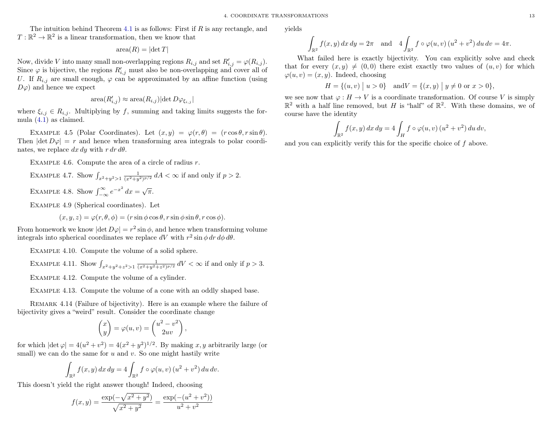The intuition behind Theorem [4.1](#page-14-3) is as follows: First if  $R$  is any rectangle, and  $T: \mathbb{R}^2 \to \mathbb{R}^2$  is a linear transformation, then we know that

$$
area(R) = |det T|
$$

Now, divide V into many small non-overlapping regions  $R_{i,j}$  and set  $R'_{i,j} = \varphi(R_{i,j}).$ Since  $\varphi$  is bijective, the regions  $R'_{i,j}$  must also be non-overlapping and cover all of U. If  $R_{i,j}$  are small enough,  $\varphi$  can be approximated by an affine function (using  $D\varphi$  and hence we expect

$$
\text{area}(R'_{i,j}) \approx \text{area}(R_{i,j}) |\text{det } D\varphi_{\xi_{i,j}}|
$$

where  $\xi_{i,j} \in R_{i,j}$ . Multiplying by f, summing and taking limits suggests the formula [\(4.1\)](#page-14-4) as claimed.

EXAMPLE 4.5 (Polar Coordinates). Let  $(x, y) = \varphi(r, \theta) = (r \cos \theta, r \sin \theta)$ . Then  $|\text{det } D\varphi| = r$  and hence when transforming area integrals to polar coordinates, we replace  $dx dy$  with  $r dr d\theta$ .

EXAMPLE 4.6. Compute the area of a circle of radius  $r$ .

EXAMPLE 4.7. Show 
$$
\int_{x^2+y^2>1} \frac{1}{(x^2+y^2)^{p/2}} dA < \infty
$$
 if and only if  $p > 2$ .  
EXAMPLE 4.8. Show  $\int_{-\infty}^{\infty} e^{-x^2} dx = \sqrt{\pi}$ .

Example 4.9 (Spherical coordinates). Let

 $(x, y, z) = \varphi(r, \theta, \phi) = (r \sin \phi \cos \theta, r \sin \phi \sin \theta, r \cos \phi).$ 

From homework we know  $|\text{det } D\varphi| = r^2 \sin \phi$ , and hence when transforming volume integrals into spherical coordinates we replace dV with  $r^2 \sin \phi \, dr \, d\phi \, d\theta$ .

Example 4.10. Compute the volume of a solid sphere.

EXAMPLE 4.11. Show 
$$
\int_{x^2+y^2+z^2>1} \frac{1}{(x^2+y^2+z^2)^{p/2}} dV < \infty
$$
 if and only if  $p > 3$ .

Example 4.12. Compute the volume of a cylinder.

Example 4.13. Compute the volume of a cone with an oddly shaped base.

Remark 4.14 (Failure of bijectivity). Here is an example where the failure of bijectivity gives a "weird" result. Consider the coordinate change

$$
\begin{pmatrix} x \\ y \end{pmatrix} = \varphi(u, v) = \begin{pmatrix} u^2 - v^2 \\ 2uv \end{pmatrix},
$$

for which  $|\text{det }\varphi| = 4(u^2 + v^2) = 4(x^2 + y^2)^{1/2}$ . By making x, y arbitrarily large (or small) we can do the same for  $u$  and  $v$ . So one might hastily write

$$
\int_{\mathbb{R}^2} f(x, y) dx dy = 4 \int_{\mathbb{R}^2} f \circ \varphi(u, v) (u^2 + v^2) du dv.
$$

This doesn't yield the right answer though! Indeed, choosing

$$
f(x,y) = \frac{\exp(-\sqrt{x^2 + y^2})}{\sqrt{x^2 + y^2}} = \frac{\exp(-u^2 + v^2)}{u^2 + v^2}
$$

yields

$$
\int_{\mathbb{R}^2} f(x, y) \, dx \, dy = 2\pi \quad \text{and} \quad 4 \int_{\mathbb{R}^2} f \circ \varphi(u, v) \left(u^2 + v^2\right) du \, dv = 4\pi.
$$

What failed here is exactly bijectivity. You can explicitly solve and check that for every  $(x, y) \neq (0, 0)$  there exist exactly two values of  $(u, v)$  for which  $\varphi(u, v) = (x, y)$ . Indeed, choosing

$$
H = \{(u, v) \mid u > 0\} \quad \text{and} \quad V = \{(x, y) \mid y \neq 0 \text{ or } x > 0\},
$$

we see now that  $\varphi : H \to V$  is a coordinate transformation. Of course V is simply  $\mathbb{R}^2$  with a half line removed, but H is "half" of  $\mathbb{R}^2$ . With these domains, we of course have the identity

$$
\int_{\mathbb{R}^2} f(x, y) dx dy = 4 \int_H f \circ \varphi(u, v) (u^2 + v^2) du dv,
$$

and you can explicitly verify this for the specific choice of f above.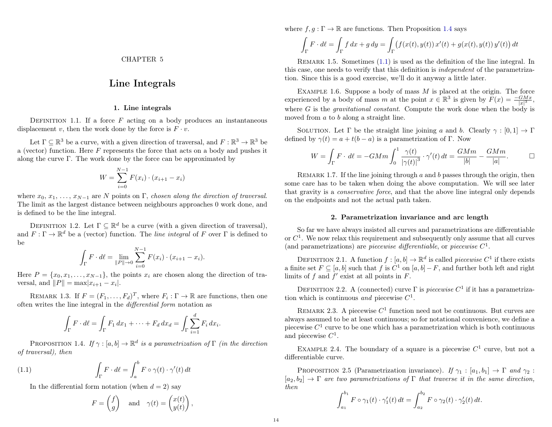### Line Integrals

#### 1. Line integrals

<span id="page-16-1"></span><span id="page-16-0"></span>DEFINITION 1.1. If a force  $F$  acting on a body produces an instantaneous displacement v, then the work done by the force is  $F \cdot v$ .

Let  $\Gamma \subseteq \mathbb{R}^3$  be a curve, with a given direction of traversal, and  $F : \mathbb{R}^3 \to \mathbb{R}^3$  be a (vector) function. Here  $F$  represents the force that acts on a body and pushes it along the curve Γ. The work done by the force can be approximated by

$$
W = \sum_{i=0}^{N-1} F(x_i) \cdot (x_{i+1} - x_i)
$$

where  $x_0, x_1, \ldots, x_{N-1}$  are N points on Γ, chosen along the direction of traversal. The limit as the largest distance between neighbours approaches 0 work done, and is defined to be the line integral.

DEFINITION 1.2. Let  $\Gamma \subseteq \mathbb{R}^d$  be a curve (with a given direction of traversal), and  $F: \Gamma \to \mathbb{R}^d$  be a (vector) function. The *line integral* of F over  $\Gamma$  is defined to be

$$
\int_{\Gamma} F \cdot d\ell = \lim_{\|P\| \to 0} \sum_{i=0}^{N-1} F(x_i) \cdot (x_{i+1} - x_i).
$$

Here  $P = \{x_0, x_1, \ldots, x_{N-1}\}\$ , the points  $x_i$  are chosen along the direction of traversal, and  $||P|| = \max|x_{i+1} - x_i|$ .

REMARK 1.3. If  $F = (F_1, \ldots, F_d)^T$ , where  $F_i : \Gamma \to \mathbb{R}$  are functions, then one often writes the line integral in the differential form notation as

$$
\int_{\Gamma} F \cdot d\ell = \int_{\Gamma} F_1 dx_1 + \dots + F_d dx_d = \int_{\Gamma} \sum_{i=1}^d F_i dx_i
$$

<span id="page-16-3"></span>PROPOSITION 1.4. If  $\gamma : [a, b] \to \mathbb{R}^d$  is a parametrization of  $\Gamma$  (in the direction of traversal), then

(1.1) 
$$
\int_{\Gamma} F \cdot d\ell = \int_{a}^{b} F \circ \gamma(t) \cdot \gamma'(t) dt
$$

In the differential form notation (when  $d = 2$ ) say

<span id="page-16-4"></span>
$$
F = \begin{pmatrix} f \\ g \end{pmatrix} \quad \text{and} \quad \gamma(t) = \begin{pmatrix} x(t) \\ y(t) \end{pmatrix},
$$

where  $f, g: \Gamma \to \mathbb{R}$  are functions. Then Proposition [1.4](#page-16-3) says

$$
\int_{\Gamma} F \cdot d\ell = \int_{\Gamma} f dx + g dy = \int_{\Gamma} \left( f(x(t), y(t)) x'(t) + g(x(t), y(t)) y'(t) \right) dt
$$

Remark 1.5. Sometimes [\(1.1\)](#page-16-4) is used as the definition of the line integral. In this case, one needs to verify that this definition is independent of the parametrization. Since this is a good exercise, we'll do it anyway a little later.

EXAMPLE 1.6. Suppose a body of mass  $M$  is placed at the origin. The force experienced by a body of mass m at the point  $x \in \mathbb{R}^3$  is given by  $F(x) = \frac{-GMx}{|x|^3}$ , where G is the *gravitational constant*. Compute the work done when the body is moved from a to b along a straight line.

SOLUTION. Let  $\Gamma$  be the straight line joining a and b. Clearly  $\gamma : [0,1] \to \Gamma$ defined by  $\gamma(t) = a + t(b - a)$  is a parametrization of Γ. Now

$$
W = \int_{\Gamma} F \cdot d\ell = -GMm \int_0^1 \frac{\gamma(t)}{\left|\gamma(t)\right|^3} \cdot \gamma'(t) dt = \frac{GMm}{|b|} - \frac{GMm}{|a|}. \qquad \Box
$$

REMARK 1.7. If the line joining through  $a$  and  $b$  passes through the origin, then some care has to be taken when doing the above computation. We will see later that gravity is a conservative force, and that the above line integral only depends on the endpoints and not the actual path taken.

#### 2. Parametrization invariance and arc length

<span id="page-16-2"></span>So far we have always insisted all curves and parametrizations are differentiable or  $C<sup>1</sup>$ . We now relax this requirement and subsequently only assume that all curves (and parametrizations) are *piecewise differentiable*, or *piecewise*  $C^1$ .

DEFINITION 2.1. A function  $f : [a, b] \to \mathbb{R}^d$  is called *piecewise*  $C^1$  if there exists a finite set  $F \subseteq [a, b]$  such that f is  $C^1$  on  $[a, b] - F$ , and further both left and right limits of f and  $f'$  exist at all points in  $F$ .

DEFINITION 2.2. A (connected) curve  $\Gamma$  is *piecewise*  $C^1$  if it has a parametrization which is continuous and piecewise  $C^1$ .

REMARK 2.3. A piecewise  $C^1$  function need not be continuous. But curves are always assumed to be at least continuous; so for notational convenience, we define a piecewise  $C^1$  curve to be one which has a parametrization which is both continuous and piecewise  $C^1$ .

EXAMPLE 2.4. The boundary of a square is a piecewise  $C<sup>1</sup>$  curve, but not a differentiable curve.

PROPOSITION 2.5 (Parametrization invariance). If  $\gamma_1 : [a_1, b_1] \rightarrow \Gamma$  and  $\gamma_2$ :  $[a_2, b_2] \rightarrow \Gamma$  are two parametrizations of  $\Gamma$  that traverse it in the same direction, then

$$
\int_{a_1}^{b_1} F \circ \gamma_1(t) \cdot \gamma_1'(t) dt = \int_{a_2}^{b_2} F \circ \gamma_2(t) \cdot \gamma_2'(t) dt.
$$

.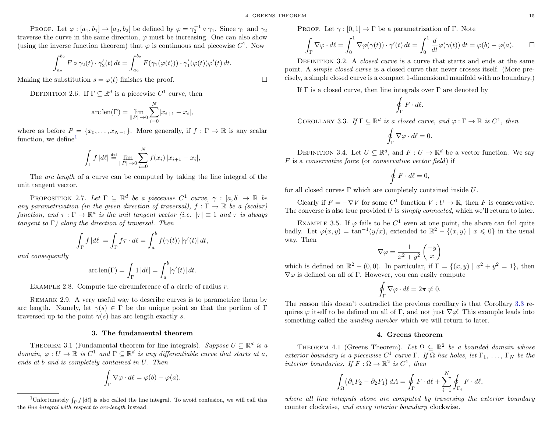PROOF. Let  $\varphi : [a_1, b_1] \to [a_2, b_2]$  be defined by  $\varphi = \gamma_2^{-1} \circ \gamma_1$ . Since  $\gamma_1$  and  $\gamma_2$ traverse the curve in the same direction,  $\varphi$  must be increasing. One can also show (using the inverse function theorem) that  $\varphi$  is continuous and piecewise  $C^1$ . Now

$$
\int_{a_2}^{b_2} F \circ \gamma_2(t) \cdot \gamma_2'(t) dt = \int_{a_2}^{b_2} F(\gamma_1(\varphi(t))) \cdot \gamma_1'(\varphi(t)) \varphi'(t) dt.
$$

Making the substitution  $s = \varphi(t)$  finishes the proof.

DEFINITION 2.6. If  $\Gamma \subseteq \mathbb{R}^d$  is a piecewise  $C^1$  curve, then

$$
\operatorname{arc} \operatorname{len}(\Gamma) = \lim_{\|P\| \to 0} \sum_{i=0}^{N} |x_{i+1} - x_i|,
$$

where as before  $P = \{x_0, \ldots, x_{N-1}\}\$ . More generally, if  $f : \Gamma \to \mathbb{R}$  is any scalar function, we define

$$
\int_{\Gamma} f \, |d\ell| \stackrel{\text{def}}{=} \lim_{\|P\| \to 0} \sum_{i=0}^{N} f(x_i) \, |x_{i+1} - x_i|,
$$

The arc length of a curve can be computed by taking the line integral of the unit tangent vector.

PROPOSITION 2.7. Let  $\Gamma \subseteq \mathbb{R}^d$  be a piecewise  $C^1$  curve,  $\gamma : [a, b] \to \mathbb{R}$  be any parametrization (in the given direction of traversal),  $f : \Gamma \to \mathbb{R}$  be a (scalar) function, and  $\tau : \Gamma \to \mathbb{R}^d$  is the unit tangent vector (i.e.  $|\tau| \equiv 1$  and  $\tau$  is always tangent to  $\Gamma$ ) along the direction of traversal. Then

$$
\int_{\Gamma} f \, |d\ell| = \int_{\Gamma} f \tau \cdot d\ell = \int_{a}^{b} f(\gamma(t)) \, |\gamma'(t)| \, dt,
$$

and consequently

$$
\operatorname{arc\,len}(\Gamma) = \int_{\Gamma} 1 \, |d\ell| = \int_{a}^{b} |\gamma'(t)| \, dt.
$$

EXAMPLE 2.8. Compute the circumference of a circle of radius  $r$ .

Remark 2.9. A very useful way to describe curves is to parametrize them by arc length. Namely, let  $\gamma(s) \in \Gamma$  be the unique point so that the portion of  $\Gamma$ traversed up to the point  $\gamma(s)$  has arc length exactly s.

#### 3. The fundamental theorem

<span id="page-17-0"></span>THEOREM 3.1 (Fundamental theorem for line integrals). Suppose  $U \subseteq \mathbb{R}^d$  is a domain,  $\varphi: U \to \mathbb{R}$  is  $C^1$  and  $\Gamma \subseteq \mathbb{R}^d$  is any differentiable curve that starts at a, ends at b and is completely contained in U. Then

$$
\int_{\Gamma} \nabla \varphi \cdot d\ell = \varphi(b) - \varphi(a).
$$

PROOF. Let  $\gamma : [0, 1] \to \Gamma$  be a parametrization of Γ. Note

$$
\int_{\Gamma} \nabla \varphi \cdot d\ell = \int_0^1 \nabla \varphi(\gamma(t)) \cdot \gamma'(t) dt = \int_0^1 \frac{d}{dt} \varphi(\gamma(t)) dt = \varphi(b) - \varphi(a). \qquad \Box
$$

DEFINITION 3.2. A *closed curve* is a curve that starts and ends at the same point. A simple closed curve is a closed curve that never crosses itself. (More precisely, a simple closed curve is a compact 1-dimensional manifold with no boundary.)

If  $\Gamma$  is a closed curve, then line integrals over  $\Gamma$  are denoted by

$$
\oint_{\Gamma} F \cdot d\ell.
$$

<span id="page-17-3"></span>COROLLARY 3.3. If  $\Gamma \subseteq \mathbb{R}^d$  is a closed curve, and  $\varphi : \Gamma \to \mathbb{R}$  is  $C^1$ , then

$$
\oint_{\Gamma}\nabla\varphi\cdot d\ell=0.
$$

DEFINITION 3.4. Let  $U \subseteq \mathbb{R}^d$ , and  $F: U \to \mathbb{R}^d$  be a vector function. We say F is a conservative force (or conservative vector field) if

$$
\oint F \cdot d\ell = 0,
$$

for all closed curves  $\Gamma$  which are completely contained inside  $U$ .

Clearly if  $F = -\nabla V$  for some  $C^1$  function  $V : U \to \mathbb{R}$ , then F is conservative. The converse is also true provided  $U$  is *simply connected*, which we'll return to later.

EXAMPLE 3.5. If  $\varphi$  fails to be  $C^1$  even at one point, the above can fail quite badly. Let  $\varphi(x,y) = \tan^{-1}(y/x)$ , extended to  $\mathbb{R}^2 - \{(x,y) \mid x \leq 0\}$  in the usual way. Then

$$
\nabla \varphi = \frac{1}{x^2 + y^2} \begin{pmatrix} -y \\ x \end{pmatrix}
$$

which is defined on  $\mathbb{R}^2 - (0,0)$ . In particular, if  $\Gamma = \{(x, y) | x^2 + y^2 = 1\}$ , then  $\nabla \varphi$  is defined on all of Γ. However, you can easily compute

$$
\oint_{\Gamma} \nabla \varphi \cdot d\ell = 2\pi \neq 0.
$$

The reason this doesn't contradict the previous corollary is that Corollary [3.3](#page-17-3) requires  $\varphi$  itself to be defined on all of Γ, and not just  $\nabla \varphi$ ! This example leads into something called the winding number which we will return to later.

#### 4. Greens theorem

<span id="page-17-4"></span><span id="page-17-1"></span>THEOREM 4.1 (Greens Theorem). Let  $\Omega \subseteq \mathbb{R}^2$  be a bounded domain whose exterior boundary is a piecewise  $C^1$  curve  $\Gamma$ . If  $\Omega$  has holes, let  $\Gamma_1, \ldots, \Gamma_N$  be the interior boundaries. If  $F : \overline{\Omega} \to \mathbb{R}^2$  is  $C^1$ , then

$$
\int_{\Omega} \left( \partial_1 F_2 - \partial_2 F_1 \right) dA = \oint_{\Gamma} F \cdot d\ell + \sum_{i=1}^{N} \oint_{\Gamma_i} F \cdot d\ell,
$$

where all line integrals above are computed by traversing the exterior boundary counter clockwise, and every interior boundary clockwise.

<span id="page-17-2"></span><sup>&</sup>lt;sup>1</sup>Unfortunately  $\int_{\Gamma} f |d\ell|$  is also called the line integral. To avoid confusion, we will call this the line integral with respect to arc-length instead.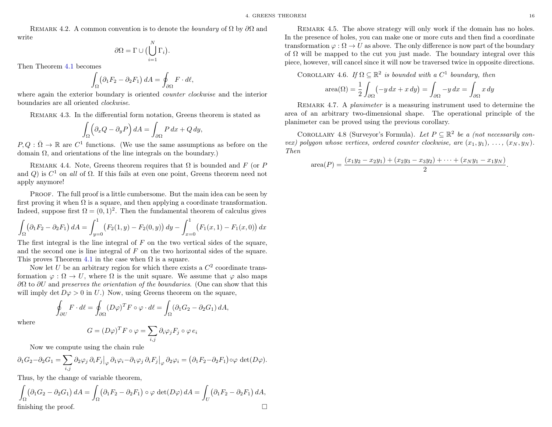REMARK 4.2. A common convention is to denote the *boundary* of  $\Omega$  by  $\partial\Omega$  and write

$$
\partial\Omega = \Gamma \cup \bigl(\bigcup_{i=1}^N \Gamma_i\bigr).
$$

Then Theorem [4.1](#page-17-4) becomes

$$
\int_{\Omega} \left( \partial_1 F_2 - \partial_2 F_1 \right) dA = \oint_{\partial \Omega} F \cdot d\ell,
$$

where again the exterior boundary is oriented *counter clockwise* and the interior boundaries are all oriented clockwise.

Remark 4.3. In the differential form notation, Greens theorem is stated as

$$
\int_{\Omega} \left( \partial_x Q - \partial_y P \right) dA = \int_{\partial \Omega} P dx + Q dy,
$$

 $P, Q : \overline{\Omega} \to \mathbb{R}$  are  $C^1$  functions. (We use the same assumptions as before on the domain Ω, and orientations of the line integrals on the boundary.)

REMARK 4.4. Note, Greens theorem requires that  $\Omega$  is bounded and F (or P and Q) is  $C^1$  on all of  $\Omega$ . If this fails at even one point, Greens theorem need not apply anymore!

PROOF. The full proof is a little cumbersome. But the main idea can be seen by first proving it when  $\Omega$  is a square, and then applying a coordinate transformation. Indeed, suppose first  $\Omega = (0, 1)^2$ . Then the fundamental theorem of calculus gives

$$
\int_{\Omega} \left( \partial_1 F_2 - \partial_2 F_1 \right) dA = \int_{y=0}^1 \left( F_2(1, y) - F_2(0, y) \right) dy - \int_{x=0}^1 \left( F_1(x, 1) - F_1(x, 0) \right) dx
$$

The first integral is the line integral of  $F$  on the two vertical sides of the square, and the second one is line integral of F on the two horizontal sides of the square. This proves Theorem [4.1](#page-17-4) in the case when  $\Omega$  is a square.

Now let U be an arbitrary region for which there exists a  $C<sup>2</sup>$  coordinate transformation  $\varphi : \Omega \to U$ , where  $\Omega$  is the unit square. We assume that  $\varphi$  also maps  $\partial\Omega$  to  $\partial U$  and preserves the orientation of the boundaries. (One can show that this will imply det  $D\varphi > 0$  in U.) Now, using Greens theorem on the square,

$$
\oint_{\partial U} F \cdot d\ell = \oint_{\partial \Omega} (D\varphi)^T F \circ \varphi \cdot d\ell = \int_{\Omega} (\partial_1 G_2 - \partial_2 G_1) dA,
$$

where

$$
G = (D\varphi)^T F \circ \varphi = \sum_{i,j} \partial_i \varphi_j F_j \circ \varphi e_i
$$

Now we compute using the chain rule

$$
\partial_1 G_2 - \partial_2 G_1 = \sum_{i,j} \partial_2 \varphi_j \, \partial_i F_j \big|_{\varphi} \, \partial_1 \varphi_i - \partial_1 \varphi_j \, \partial_i F_j \big|_{\varphi} \, \partial_2 \varphi_i = \big( \partial_1 F_2 - \partial_2 F_1 \big) \circ \varphi \, \det(D\varphi).
$$

Thus, by the change of variable theorem,

$$
\int_{\Omega} (\partial_1 G_2 - \partial_2 G_1) dA = \int_{\Omega} (\partial_1 F_2 - \partial_2 F_1) \circ \varphi \det(D\varphi) dA = \int_U (\partial_1 F_2 - \partial_2 F_1) dA,
$$
  
finishing the proof.

REMARK 4.5. The above strategy will only work if the domain has no holes. In the presence of holes, you can make one or more cuts and then find a coordinate transformation  $\varphi : \Omega \to U$  as above. The only difference is now part of the boundary of  $\Omega$  will be mapped to the cut you just made. The boundary integral over this piece, however, will cancel since it will now be traversed twice in opposite directions.

COROLLARY 4.6. If  $\Omega \subseteq \mathbb{R}^2$  is bounded with a  $C^1$  boundary, then

$$
\operatorname{area}(\Omega) = \frac{1}{2} \int_{\partial \Omega} (-y \, dx + x \, dy) = \int_{\partial \Omega} -y \, dx = \int_{\partial \Omega} x \, dy
$$

REMARK 4.7. A *planimeter* is a measuring instrument used to determine the area of an arbitrary two-dimensional shape. The operational principle of the planimeter can be proved using the previous corollary.

COROLLARY 4.8 (Surveyor's Formula). Let  $P \subseteq \mathbb{R}^2$  be a (not necessarily convex) polygon whose vertices, ordered counter clockwise, are  $(x_1, y_1), \ldots, (x_N, y_N)$ . Then

area
$$
(P)
$$
 = 
$$
\frac{(x_1y_2 - x_2y_1) + (x_2y_3 - x_3y_2) + \dots + (x_Ny_1 - x_1y_N)}{2}.
$$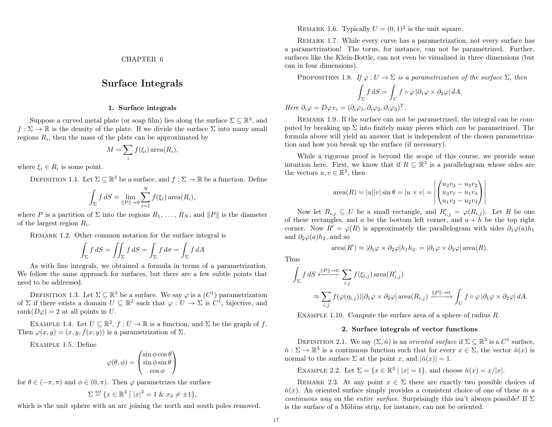### Surface Integrals

#### 1. Surface integrals

<span id="page-19-1"></span><span id="page-19-0"></span>Suppose a curved metal plate (or soap film) lies along the surface  $\Sigma \subseteq \mathbb{R}^3$ , and  $f : \Sigma \to \mathbb{R}$  is the density of the plate. If we divide the surface  $\Sigma$  into many small regions  $R_i$ , then the mass of the plate can be approximated by

$$
M = \sum_{i} f(\xi_i) \operatorname{area}(R_i),
$$

where  $\xi_i \in R_i$  is some point.

DEFINITION 1.1. Let  $\Sigma \subseteq \mathbb{R}^3$  be a surface, and  $f : \Sigma \to \mathbb{R}$  be a function. Define

$$
\int_{\Sigma} f \, dS = \lim_{\|P\| \to 0} \sum_{i=1}^{N} f(\xi_i) \operatorname{area}(R_i),
$$

where P is a partition of  $\Sigma$  into the regions  $R_1, \ldots, R_N$ , and  $||P||$  is the diameter of the largest region  $R_i$ .

REMARK 1.2. Other common notation for the surface integral is

$$
\int_{\Sigma} f \, dS = \iint_{\Sigma} f \, dS = \int_{\Sigma} f \, d\sigma = \int_{\Sigma} f \, dA
$$

As with line integrals, we obtained a formula in terms of a parametrization. We follow the same approach for surfaces, but there are a few subtle points that need to be addressed.

DEFINITION 1.3. Let  $\Sigma \subseteq \mathbb{R}^3$  be a surface. We say  $\varphi$  is a  $(C^1)$  parametrization of  $\Sigma$  if there exists a domain  $U \subseteq \mathbb{R}^2$  such that  $\varphi : U \to \Sigma$  is  $C^1$ , bijective, and rank $(D\varphi) = 2$  at all points in U.

EXAMPLE 1.4. Let  $U \subseteq \mathbb{R}^2$ ,  $f: U \to \mathbb{R}$  is a function, and  $\Sigma$  be the graph of f. Then  $\varphi(x, y) = (x, y, f(x, y))$  is a parametrization of  $\Sigma$ .

Example 1.5. Define

$$
\varphi(\theta,\phi) = \begin{pmatrix} \sin\phi\cos\theta \\ \sin\phi\sin\theta \\ \cos\phi \end{pmatrix}
$$

for  $\theta \in (-\pi, \pi)$  and  $\phi \in (0, \pi)$ . Then  $\varphi$  parametrizes the surface

$$
\Sigma \stackrel{\text{def}}{=} \{ x \in \mathbb{R}^3 \mid |x|^2 = 1 \; \& \; x_3 \neq \pm 1 \},
$$

which is the unit sphere with an arc joining the north and south poles removed.

REMARK 1.6. Typically  $U = (0, 1)^2$  is the unit square.

REMARK 1.7. While every curve has a parametrization, not every surface has a parametrization! The torus, for instance, can not be parametrized. Further, surfaces like the Klein-Bottle, can not even be visualised in three dimensions (but can in four dimensions).

<span id="page-19-3"></span>PROPOSITION 1.8. If  $\varphi: U \to \Sigma$  is a parametrization of the surface  $\Sigma$ , then

$$
\int_{\Sigma} f \, dS = \int_{U} f \circ \varphi \, |\partial_1 \varphi \times \partial_2 \varphi| \, dA.
$$

Here  $\partial_i \varphi = D\varphi \, e_i = (\partial_i \varphi_1, \partial_i \varphi_2, \partial_i \varphi_3)^T$ .

REMARK 1.9. If the surface can not be parametrized, the integral can be computed by breaking up  $\Sigma$  into finitely many pieces which can be parametrized. The formula above will yield an answer that is independent of the chosen parametrization and how you break up the surface (if necessary).

While a rigorous proof is beyond the scope of this course, we provide some intuition here. First, we know that if  $R \subseteq \mathbb{R}^3$  is a parallelogram whose sides are the vectors  $u, v \in \mathbb{R}^3$ , then

area(R) = 
$$
|u||v|\sin\theta = |u \times v|
$$
 =  $\left| \begin{pmatrix} u_2v_3 - u_3v_2 \\ u_3v_1 - u_1v_3 \\ u_1v_2 - u_2v_3 \end{pmatrix} \right|$ 

Now let  $R_{i,j} \subseteq U$  be a small rectangle, and  $R'_{i,j} = \varphi(R_{i,j})$ . Let R be one of these rectangles, and a be the bottom left corner, and  $a + h$  be the top right corner. Now  $R' = \varphi(R)$  is approximately the parallelogram with sides  $\partial_1\varphi(a)h_1$ and  $\partial_2\varphi(a)h_2$ , and so

area
$$
(R') \approx |\partial_1 \varphi \times \partial_2 \varphi| h_1 h_2
$$
. =  $|\partial_1 \varphi \times \partial_2 \varphi|$  area $(R)$ .

Thus

$$
\int_{\Sigma} f \, dS \xleftarrow{\|P\| \to 0} \sum_{i,j} f(\xi_{i,j}) \operatorname{area}(R'_{i,j})
$$
\n
$$
\approx \sum_{i,j} f(\varphi(\eta_{i,j})) |\partial_1 \varphi \times \partial_2 \varphi| \operatorname{area}(R_{i,j}) \xrightarrow{\|P\| \to 0} \int_U f \circ \varphi \, |\partial_1 \varphi \times \partial_2 \varphi| \, dA.
$$

EXAMPLE 1.10. Compute the surface area of a sphere of radius R.

#### 2. Surface integrals of vector functions

<span id="page-19-2"></span>DEFINITION 2.1. We say  $(\Sigma, \hat{n})$  is an *oriented surface* if  $\Sigma \subseteq \mathbb{R}^3$  is a  $C^1$  surface,  $\hat{n}: \Sigma \to \mathbb{R}^3$  is a continuous function such that for every  $x \in \Sigma$ , the vector  $\hat{n}(x)$  is normal to the surface  $\Sigma$  at the point x, and  $|\hat{n}(x)| = 1$ .

EXAMPLE 2.2. Let  $\Sigma = \{x \in \mathbb{R}^3 \mid |x| = 1\}$ , and choose  $\hat{n}(x) = x/|x|$ .

REMARK 2.3. At any point  $x \in \Sigma$  there are exactly two possible choices of  $\hat{n}(x)$ . An oriented surface simply provides a consistent choice of one of these in a continuous way on the entire surface. Surprisingly this isn't always possible! If  $\Sigma$ is the surface of a Möbius strip, for instance, can not be oriented.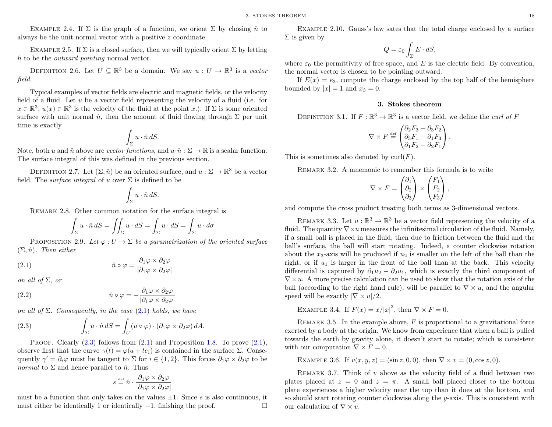EXAMPLE 2.4. If  $\Sigma$  is the graph of a function, we orient  $\Sigma$  by chosing  $\hat{n}$  to always be the unit normal vector with a positive z coordinate.

EXAMPLE 2.5. If  $\Sigma$  is a closed surface, then we will typically orient  $\Sigma$  by letting  $\hat{n}$  to be the *outward pointing* normal vector.

DEFINITION 2.6. Let  $U \subseteq \mathbb{R}^3$  be a domain. We say  $u: U \to \mathbb{R}^3$  is a vector field.

Typical examples of vector fields are electric and magnetic fields, or the velocity field of a fluid. Let  $u$  be a vector field representing the velocity of a fluid (i.e. for  $x \in \mathbb{R}^3$ ,  $u(x) \in \mathbb{R}^3$  is the velocity of the fluid at the point x.). If  $\Sigma$  is some oriented surface with unit normal  $\hat{n}$ , then the amount of fluid flowing through  $\Sigma$  per unit time is exactly

$$
\int_{\Sigma} u \cdot \hat{n} \, dS.
$$

Note, both u and  $\hat{n}$  above are vector functions, and  $u \cdot \hat{n} : \Sigma \to \mathbb{R}$  is a scalar function. The surface integral of this was defined in the previous section.

DEFINITION 2.7. Let  $(\Sigma, \hat{n})$  be an oriented surface, and  $u : \Sigma \to \mathbb{R}^3$  be a vector field. The *surface integral* of u over  $\Sigma$  is defined to be

$$
\int_{\Sigma} u \cdot \hat{n} \, dS.
$$

REMARK 2.8. Other common notation for the surface integral is

<span id="page-20-1"></span>
$$
\int_{\Sigma} u \cdot \hat{n} dS = \iint_{\Sigma} u \cdot dS = \int_{\Sigma} u \cdot dS = \int_{\Sigma} u \cdot d\sigma
$$

PROPOSITION 2.9. Let  $\varphi: U \to \Sigma$  be a parametrization of the oriented surface  $(\Sigma, \hat{n})$ . Then either

(2.1) 
$$
\hat{n} \circ \varphi = \frac{\partial_1 \varphi \times \partial_2 \varphi}{|\partial_1 \varphi \times \partial_2 \varphi|}
$$

on all of  $\Sigma$ , or

(2.2) 
$$
\hat{n} \circ \varphi = -\frac{\partial_1 \varphi \times \partial_2 \varphi}{|\partial_1 \varphi \times \partial_2 \varphi|}
$$

on all of  $\Sigma$ . Consequently, in the case [\(2.1\)](#page-20-1) holds, we have

<span id="page-20-2"></span>(2.3) 
$$
\int_{\Sigma} u \cdot \hat{n} dS = \int_{U} (u \circ \varphi) \cdot (\partial_1 \varphi \times \partial_2 \varphi) dA.
$$

PROOF. Clearly  $(2.3)$  follows from  $(2.1)$  and Proposition [1.8.](#page-19-3) To prove  $(2.1)$ , observe first that the curve  $\gamma(t) = \varphi(a + te_i)$  is contained in the surface  $\Sigma$ . Consequently  $\gamma' = \partial_i \varphi$  must be tangent to  $\Sigma$  for  $i \in \{1, 2\}$ . This forces  $\partial_1 \varphi \times \partial_2 \varphi$  to be *normal* to  $\Sigma$  and hence parallel to  $\hat{n}$ . Thus

$$
s \stackrel{\text{\tiny def}}{=} \hat{n} \cdot \frac{\partial_1 \varphi \times \partial_2 \varphi}{|\partial_1 \varphi \times \partial_2 \varphi|}
$$

must be a function that only takes on the values  $\pm 1$ . Since s is also continuous, it must either be identically 1 or identically  $-1$ , finishing the proof.  $\Box$ 

Example 2.10. Gauss's law sates that the total charge enclosed by a surface  $\Sigma$  is given by

$$
Q = \varepsilon_0 \int_{\Sigma} E \cdot dS,
$$

where  $\varepsilon_0$  the permittivity of free space, and E is the electric field. By convention, the normal vector is chosen to be pointing outward.

If  $E(x) = e_3$ , compute the charge enclosed by the top half of the hemisphere bounded by  $|x| = 1$  and  $x_3 = 0$ .

#### 3. Stokes theorem

<span id="page-20-0"></span>DEFINITION 3.1. If  $F: \mathbb{R}^3 \to \mathbb{R}^3$  is a vector field, we define the *curl of* F

$$
\nabla \times F \stackrel{\text{def}}{=} \begin{pmatrix} \partial_2 F_3 - \partial_3 F_2 \\ \partial_3 F_1 - \partial_1 F_3 \\ \partial_1 F_2 - \partial_2 F_1 \end{pmatrix}.
$$

This is sometimes also denoted by  $\text{curl}(F)$ .

REMARK 3.2. A mnemonic to remember this formula is to write

$$
\nabla \times F = \begin{pmatrix} \partial_1 \\ \partial_2 \\ \partial_3 \end{pmatrix} \times \begin{pmatrix} F_1 \\ F_2 \\ F_3 \end{pmatrix},
$$

and compute the cross product treating both terms as 3-dimensional vectors.

<span id="page-20-3"></span>REMARK 3.3. Let  $u : \mathbb{R}^3 \to \mathbb{R}^3$  be a vector field representing the velocity of a fluid. The quantity  $\nabla \times u$  measures the infinitesimal circulation of the fluid. Namely, if a small ball is placed in the fluid, then due to friction between the fluid and the ball's surface, the ball will start rotating. Indeed, a counter clockwise rotation about the  $x_3$ -axis will be produced if  $u_2$  is smaller on the left of the ball than the right, or if  $u_1$  is larger in the front of the ball than at the back. This velocity differential is captured by  $\partial_1 u_2 - \partial_2 u_1$ , which is exactly the third component of  $\nabla \times u$ . A more precise calculation can be used to show that the rotation axis of the ball (according to the right hand rule), will be parallel to  $\nabla \times u$ , and the angular speed will be exactly  $|\nabla \times u|/2$ .

EXAMPLE 3.4. If  $F(x) = x/|x|^3$ , then  $\nabla \times F = 0$ .

REMARK 3.5. In the example above,  $F$  is proportional to a gravitational force exerted by a body at the origin. We know from experience that when a ball is pulled towards the earth by gravity alone, it doesn't start to rotate; which is consistent with our computation  $\nabla \times F = 0$ .

EXAMPLE 3.6. If  $v(x, y, z) = (\sin z, 0, 0)$ , then  $\nabla \times v = (0, \cos z, 0)$ .

REMARK 3.7. Think of  $v$  above as the velocity field of a fluid between two plates placed at  $z = 0$  and  $z = \pi$ . A small ball placed closer to the bottom plate experiences a higher velocity near the top than it does at the bottom, and so should start rotating counter clockwise along the  $y$ -axis. This is consistent with our calculation of  $\nabla \times v$ .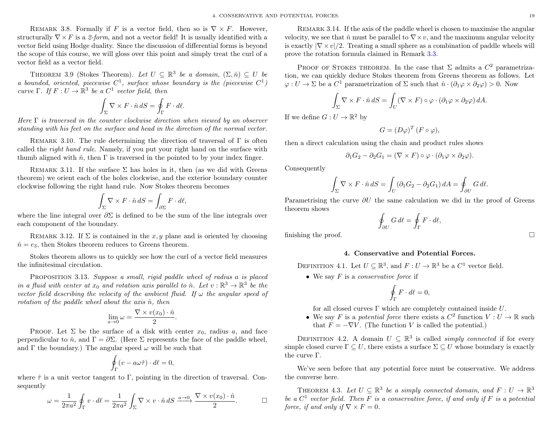REMARK 3.8. Formally if F is a vector field, then so is  $\nabla \times F$ . However, structurally  $\nabla \times F$  is a 2-form, and not a vector field! It is usually identified with a vector field using Hodge duality. Since the discussion of differential forms is beyond the scope of this course, we will gloss over this point and simply treat the curl of a vector field as a vector field.

THEOREM 3.9 (Stokes Theorem). Let  $U \subseteq \mathbb{R}^3$  be a domain,  $(\Sigma, \hat{n}) \subseteq U$  be a bounded, oriented, piecewise  $C^1$ , surface whose boundary is the (piecewise  $C^1$ ) curve  $\Gamma$ . If  $F: U \to \mathbb{R}^3$  be a  $C^1$  vector field, then

$$
\int_{\Sigma} \nabla \times F \cdot \hat{n} \, dS = \oint_{\Gamma} F \cdot d\ell.
$$

Here  $\Gamma$  is traversed in the counter clockwise direction when viewed by an observer standing with his feet on the surface and head in the direction of the normal vector.

REMARK 3.10. The rule determining the direction of traversal of  $\Gamma$  is often called the right hand rule. Namely, if you put your right hand on the surface with thumb aligned with  $\hat{n}$ , then  $\Gamma$  is traversed in the pointed to by your index finger.

REMARK 3.11. If the surface  $\Sigma$  has holes in it, then (as we did with Greens theorem) we orient each of the holes clockwise, and the exterior boundary counter clockwise following the right hand rule. Now Stokes theorem becomes

$$
\int_{\Sigma} \nabla \times F \cdot \hat{n} \, dS = \int_{\partial \Sigma} F \cdot d\ell,
$$

where the line integral over  $\partial \Sigma$  is defined to be the sum of the line integrals over each component of the boundary.

REMARK 3.12. If  $\Sigma$  is contained in the x, y plane and is oriented by choosing  $\hat{n} = e_3$ , then Stokes theorem reduces to Greens theorem.

Stokes theorem allows us to quickly see how the curl of a vector field measures the infinitesimal circulation.

PROPOSITION 3.13. Suppose a small, rigid paddle wheel of radius a is placed in a fluid with center at  $x_0$  and rotation axis parallel to  $\hat{n}$ . Let  $v : \mathbb{R}^3 \to \mathbb{R}^3$  be the vector field describing the velocity of the ambient fluid. If  $\omega$  the angular speed of rotation of the paddle wheel about the axis  $\hat{n}$ , then

$$
\lim_{a \to 0} \omega = \frac{\nabla \times v(x_0) \cdot \hat{n}}{2}.
$$

PROOF. Let  $\Sigma$  be the surface of a disk with center  $x_0$ , radius a, and face perpendicular to  $\hat{n}$ , and  $\Gamma = \partial \Sigma$ . (Here  $\Sigma$  represents the face of the paddle wheel, and  $\Gamma$  the boundary.) The angular speed  $\omega$  will be such that

$$
\oint_{\Gamma} (v - a\omega \hat{\tau}) \cdot d\ell = 0,
$$

where  $\hat{\tau}$  is a unit vector tangent to Γ, pointing in the direction of traversal. Consequently

$$
\omega = \frac{1}{2\pi a^2} \oint_{\Gamma} v \cdot d\ell = \frac{1}{2\pi a^2} \int_{\Sigma} \nabla \times v \cdot \hat{n} dS \xrightarrow{a \to 0} \frac{\nabla \times v(x_0) \cdot \hat{n}}{2}.
$$

Remark 3.14. If the axis of the paddle wheel is chosen to maximise the angular velocity, we see that  $\hat{n}$  must be parallel to  $\nabla \times v$ , and the maximum angular velocity is exactly  $|\nabla \times v|/2$ . Treating a small sphere as a combination of paddle wheels will prove the rotation formula claimed in Remark [3.3.](#page-20-3)

PROOF OF STOKES THEOREM. In the case that  $\Sigma$  admits a  $C^2$  parametrization, we can quickly deduce Stokes theorem from Greens theorem as follows. Let  $\varphi: U \to \Sigma$  be a  $C^1$  parametrization of  $\Sigma$  such that  $\hat{n} \cdot (\partial_1 \varphi \times \partial_2 \varphi) > 0$ . Now

$$
\int_{\Sigma} \nabla \times F \cdot \hat{n} dS = \int_{U} (\nabla \times F) \circ \varphi \cdot (\partial_1 \varphi \times \partial_2 \varphi) dA.
$$

If we define  $G: U \to \mathbb{R}^2$  by

$$
G = (D\varphi)^T (F \circ \varphi),
$$

then a direct calculation using the chain and product rules shows

$$
\partial_1 G_2 - \partial_2 G_1 = (\nabla \times F) \circ \varphi \cdot (\partial_1 \varphi \times \partial_2 \varphi).
$$

Consequently

$$
\int_{\Sigma} \nabla \times F \cdot \hat{n} dS = \int_{U} (\partial_1 G_2 - \partial_2 G_1) dA = \oint_{\partial U} G d\ell.
$$

Parametrising the curve  $\partial U$  the same calculation we did in the proof of Greens theorem shows

$$
\oint_{\partial U} G \, d\ell = \oint_{\Gamma} F \cdot d\ell,
$$

<span id="page-21-0"></span>finishing the proof.  $\Box$ 

#### 4. Conservative and Potential Forces.

DEFINITION 4.1. Let  $U \subseteq \mathbb{R}^3$ , and  $F: U \to \mathbb{R}^3$  be a  $C^1$  vector field.

• We say  $F$  is a *conservative force* if

$$
\oint_{\Gamma} F \cdot d\ell = 0,
$$

for all closed curves  $\Gamma$  which are completely contained inside  $U$ .

• We say F is a potential force there exists a  $C^2$  function  $V: U \to \mathbb{R}$  such that  $F = -\nabla V$ . (The function V is called the potential.)

DEFINITION 4.2. A domain  $U \subseteq \mathbb{R}^3$  is called *simply connected* if for every simple closed curve  $\Gamma \subseteq U$ , there exists a surface  $\Sigma \subseteq U$  whose boundary is exactly the curve Γ.

We've seen before that any potential force must be conservative. We address the converse here.

<span id="page-21-1"></span>THEOREM 4.3. Let  $U \subseteq \mathbb{R}^3$  be a simply connected domain, and  $F: U \to \mathbb{R}^3$ be a  $C^1$  vector field. Then F is a conservative force, if and only if F is a potential force, if and only if  $\nabla \times F = 0$ .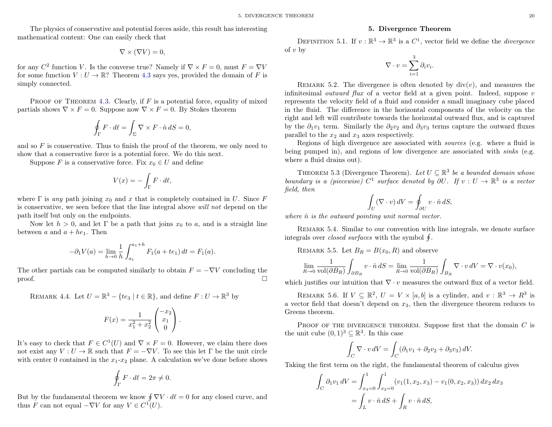The physics of conservative and potential forces aside, this result has interesting mathematical content: One can easily check that

$$
\nabla \times (\nabla V) = 0,
$$

for any  $C^2$  function V. Is the converse true? Namely if  $\nabla \times F = 0$ , must  $F = \nabla V$ for some function  $V: U \to \mathbb{R}$ ? Theorem [4.3](#page-21-1) says yes, provided the domain of F is simply connected.

PROOF OF THEOREM [4.3.](#page-21-1) Clearly, if  $F$  is a potential force, equality of mixed partials shows  $\nabla \times F = 0$ . Suppose now  $\nabla \times F = 0$ . By Stokes theorem

$$
\oint_{\Gamma} F \cdot d\ell = \int_{\Sigma} \nabla \times F \cdot \hat{n} dS = 0,
$$

and so  $F$  is conservative. Thus to finish the proof of the theorem, we only need to show that a conservative force is a potential force. We do this next.

Suppose F is a conservative force. Fix  $x_0 \in U$  and define

$$
V(x) = -\int_{\Gamma} F \cdot d\ell,
$$

where  $\Gamma$  is any path joining  $x_0$  and x that is completely contained in U. Since F is conservative, we seen before that the line integral above will not depend on the path itself but only on the endpoints.

Now let  $h > 0$ , and let Γ be a path that joins  $x_0$  to a, and is a straight line between a and  $a + he<sub>1</sub>$ . Then

$$
-\partial_1 V(a) = \lim_{h \to 0} \frac{1}{h} \int_{a_1}^{a_1 + h} F_1(a + te_1) dt = F_1(a).
$$

The other partials can be computed similarly to obtain  $F = -\nabla V$  concluding the  $\Box$ 

REMARK 4.4. Let 
$$
U = \mathbb{R}^3 - \{te_3 \mid t \in \mathbb{R}\}
$$
, and define  $F: U \to \mathbb{R}^3$  by

$$
F(x) = \frac{1}{x_1^2 + x_2^2} \begin{pmatrix} -x_2 \\ x_1 \\ 0 \end{pmatrix}.
$$

It's easy to check that  $F \in C^1(U)$  and  $\nabla \times F = 0$ . However, we claim there does not exist any  $V: U \to \mathbb{R}$  such that  $F = -\nabla V$ . To see this let  $\Gamma$  be the unit circle with center 0 contained in the  $x_1-x_2$  plane. A calculation we've done before shows

$$
\oint_{\Gamma} F \cdot d\ell = 2\pi \neq 0.
$$

But by the fundamental theorem we know  $\oint \nabla V \cdot d\ell = 0$  for any closed curve, and thus F can not equal  $-\nabla V$  for any  $V \in C^1(U)$ .

#### 5. Divergence Theorem

<span id="page-22-0"></span>DEFINITION 5.1. If  $v : \mathbb{R}^3 \to \mathbb{R}^3$  is a  $C^1$ , vector field we define the *divergence* of  $v$  by

$$
\nabla \cdot v = \sum_{i=1}^{3} \partial_i v_i.
$$

REMARK 5.2. The divergence is often denoted by  $div(v)$ , and measures the infinitesimal *outward flux* of a vector field at a given point. Indeed, suppose  $v$ represents the velocity field of a fluid and consider a small imaginary cube placed in the fluid. The difference in the horizontal components of the velocity on the right and left will contribute towards the horizontal outward flux, and is captured by the  $\partial_1 v_1$  term. Similarly the  $\partial_2 v_2$  and  $\partial_3 v_3$  terms capture the outward fluxes parallel to the  $x_2$  and  $x_3$  axes respectively.

Regions of high divergence are associated with sources (e.g. where a fluid is being pumped in), and regions of low divergence are associated with *sinks* (e.g. where a fluid drains out).

THEOREM 5.3 (Divergence Theorem). Let  $U \subseteq \mathbb{R}^3$  be a bounded domain whose boundary is a (piecewise)  $C^1$  surface denoted by  $\partial U$ . If  $v : U \to \mathbb{R}^3$  is a vector field, then

$$
\int_U (\nabla \cdot v) dV = \oint_{\partial U} v \cdot \hat{n} dS,
$$

where  $\hat{n}$  is the outward pointing unit normal vector.

Remark 5.4. Similar to our convention with line integrals, we denote surface integrals over *closed surfaces* with the symbol  $\oint$ .

REMARK 5.5. Let 
$$
B_R = B(x_0, R)
$$
 and observe

$$
\lim_{R \to 0} \frac{1}{\text{vol}(\partial B_R)} \int_{\partial B_R} v \cdot \hat{n} dS = \lim_{R \to 0} \frac{1}{\text{vol}(\partial B_R)} \int_{B_R} \nabla \cdot v dV = \nabla \cdot v(x_0),
$$

which justifies our intuition that  $\nabla \cdot v$  measures the outward flux of a vector field.

REMARK 5.6. If  $V \subseteq \mathbb{R}^2$ ,  $U = V \times [a, b]$  is a cylinder, and  $v : \mathbb{R}^3 \to R^3$  is a vector field that doesn't depend on  $x_3$ , then the divergence theorem reduces to Greens theorem.

PROOF OF THE DIVERGENCE THEOREM. Suppose first that the domain  $C$  is the unit cube  $(0,1)^3 \subseteq \mathbb{R}^3$ . In this case

$$
\int_C \nabla \cdot v \, dV = \int_C (\partial_1 v_1 + \partial_2 v_2 + \partial_3 v_3) \, dV.
$$

Taking the first term on the right, the fundamental theorem of calculus gives

$$
\int_C \partial_1 v_1 \, dV = \int_{x_3=0}^1 \int_{x_2=0}^1 (v_1(1, x_2, x_3) - v_1(0, x_2, x_3)) \, dx_2 \, dx_3
$$

$$
= \int_L v \cdot \hat{n} \, dS + \int_R v \cdot \hat{n} \, dS,
$$